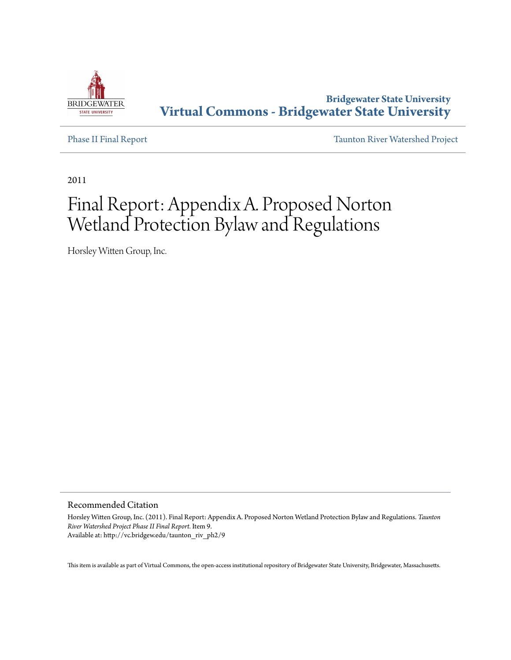

**Bridgewater State University [Virtual Commons - Bridgewater State University](http://vc.bridgew.edu)**

[Phase II Final Report](http://vc.bridgew.edu/taunton_riv_ph2) [Taunton River Watershed Project](http://vc.bridgew.edu/taunton_riv)

2011

# Final Report: Appendix A. Proposed Norton Wetland Protection Bylaw and Regulations

Horsley Witten Group, Inc.

Recommended Citation

Horsley Witten Group, Inc. (2011). Final Report: Appendix A. Proposed Norton Wetland Protection Bylaw and Regulations. *Taunton River Watershed Project Phase II Final Report.* Item 9. Available at: http://vc.bridgew.edu/taunton\_riv\_ph2/9

This item is available as part of Virtual Commons, the open-access institutional repository of Bridgewater State University, Bridgewater, Massachusetts.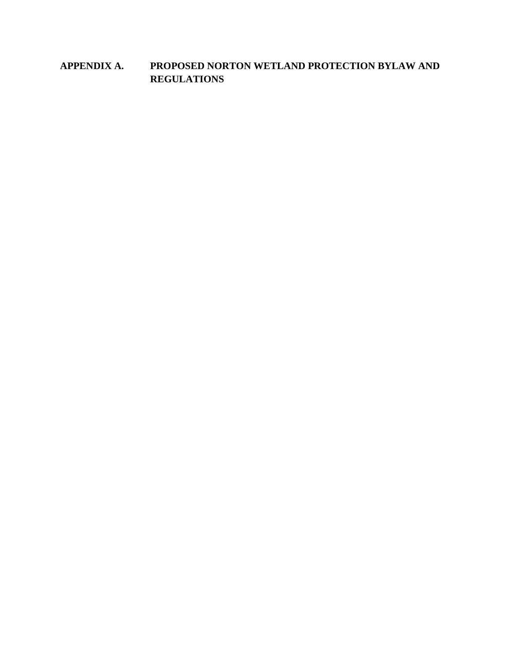# **APPENDIX A. PROPOSED NORTON WETLAND PROTECTION BYLAW AND REGULATIONS**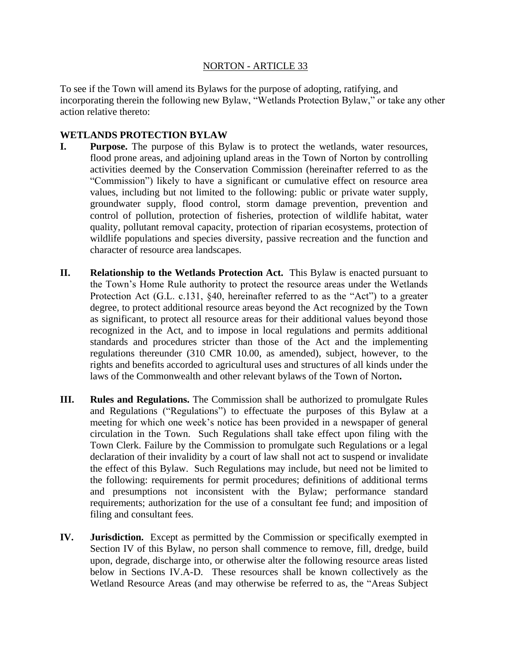#### NORTON - ARTICLE 33

To see if the Town will amend its Bylaws for the purpose of adopting, ratifying, and incorporating therein the following new Bylaw, "Wetlands Protection Bylaw," or take any other action relative thereto:

#### **WETLANDS PROTECTION BYLAW**

- **I. Purpose.** The purpose of this Bylaw is to protect the wetlands, water resources, flood prone areas, and adjoining upland areas in the Town of Norton by controlling activities deemed by the Conservation Commission (hereinafter referred to as the "Commission") likely to have a significant or cumulative effect on resource area values, including but not limited to the following: public or private water supply, groundwater supply, flood control, storm damage prevention, prevention and control of pollution, protection of fisheries, protection of wildlife habitat, water quality, pollutant removal capacity, protection of riparian ecosystems, protection of wildlife populations and species diversity, passive recreation and the function and character of resource area landscapes.
- **II. Relationship to the Wetlands Protection Act.** This Bylaw is enacted pursuant to the Town's Home Rule authority to protect the resource areas under the Wetlands Protection Act (G.L. c.131, §40, hereinafter referred to as the "Act") to a greater degree, to protect additional resource areas beyond the Act recognized by the Town as significant, to protect all resource areas for their additional values beyond those recognized in the Act, and to impose in local regulations and permits additional standards and procedures stricter than those of the Act and the implementing regulations thereunder (310 CMR 10.00, as amended), subject, however, to the rights and benefits accorded to agricultural uses and structures of all kinds under the laws of the Commonwealth and other relevant bylaws of the Town of Norton**.**
- **III. Rules and Regulations.** The Commission shall be authorized to promulgate Rules and Regulations ("Regulations") to effectuate the purposes of this Bylaw at a meeting for which one week's notice has been provided in a newspaper of general circulation in the Town. Such Regulations shall take effect upon filing with the Town Clerk. Failure by the Commission to promulgate such Regulations or a legal declaration of their invalidity by a court of law shall not act to suspend or invalidate the effect of this Bylaw. Such Regulations may include, but need not be limited to the following: requirements for permit procedures; definitions of additional terms and presumptions not inconsistent with the Bylaw; performance standard requirements; authorization for the use of a consultant fee fund; and imposition of filing and consultant fees.
- **IV. Jurisdiction.** Except as permitted by the Commission or specifically exempted in Section IV of this Bylaw, no person shall commence to remove, fill, dredge, build upon, degrade, discharge into, or otherwise alter the following resource areas listed below in Sections IV.A-D. These resources shall be known collectively as the Wetland Resource Areas (and may otherwise be referred to as, the "Areas Subject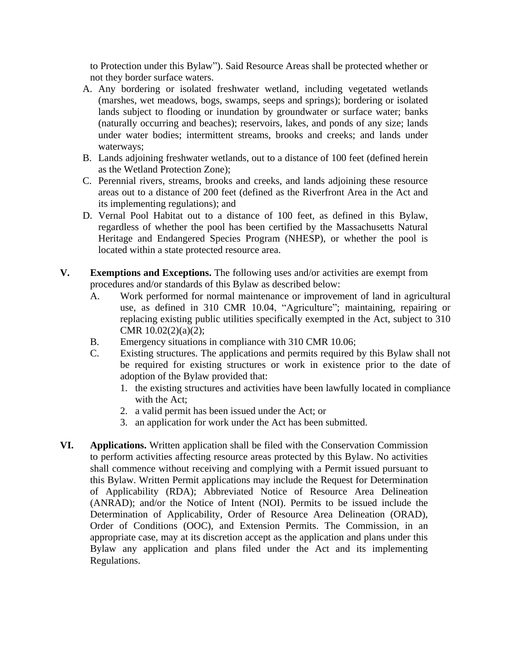to Protection under this Bylaw"). Said Resource Areas shall be protected whether or not they border surface waters.

- A. Any bordering or isolated freshwater wetland, including vegetated wetlands (marshes, wet meadows, bogs, swamps, seeps and springs); bordering or isolated lands subject to flooding or inundation by groundwater or surface water; banks (naturally occurring and beaches); reservoirs, lakes, and ponds of any size; lands under water bodies; intermittent streams, brooks and creeks; and lands under waterways;
- B. Lands adjoining freshwater wetlands, out to a distance of 100 feet (defined herein as the Wetland Protection Zone);
- C. Perennial rivers, streams, brooks and creeks, and lands adjoining these resource areas out to a distance of 200 feet (defined as the Riverfront Area in the Act and its implementing regulations); and
- D. Vernal Pool Habitat out to a distance of 100 feet, as defined in this Bylaw, regardless of whether the pool has been certified by the Massachusetts Natural Heritage and Endangered Species Program (NHESP), or whether the pool is located within a state protected resource area.
- **V. Exemptions and Exceptions.** The following uses and/or activities are exempt from procedures and/or standards of this Bylaw as described below:
	- A. Work performed for normal maintenance or improvement of land in agricultural use, as defined in 310 CMR 10.04, "Agriculture"; maintaining, repairing or replacing existing public utilities specifically exempted in the Act, subject to 310 CMR 10.02(2)(a)(2);
	- B. Emergency situations in compliance with 310 CMR 10.06;
	- C. Existing structures. The applications and permits required by this Bylaw shall not be required for existing structures or work in existence prior to the date of adoption of the Bylaw provided that:
		- 1. the existing structures and activities have been lawfully located in compliance with the Act;
		- 2. a valid permit has been issued under the Act; or
		- 3. an application for work under the Act has been submitted.
- **VI. Applications.** Written application shall be filed with the Conservation Commission to perform activities affecting resource areas protected by this Bylaw. No activities shall commence without receiving and complying with a Permit issued pursuant to this Bylaw. Written Permit applications may include the Request for Determination of Applicability (RDA); Abbreviated Notice of Resource Area Delineation (ANRAD); and/or the Notice of Intent (NOI). Permits to be issued include the Determination of Applicability, Order of Resource Area Delineation (ORAD), Order of Conditions (OOC), and Extension Permits. The Commission, in an appropriate case, may at its discretion accept as the application and plans under this Bylaw any application and plans filed under the Act and its implementing Regulations.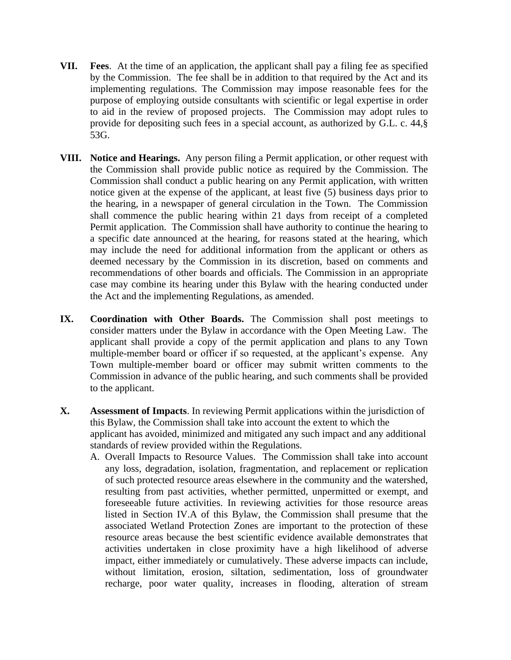- **VII. Fees**. At the time of an application, the applicant shall pay a filing fee as specified by the Commission. The fee shall be in addition to that required by the Act and its implementing regulations. The Commission may impose reasonable fees for the purpose of employing outside consultants with scientific or legal expertise in order to aid in the review of proposed projects. The Commission may adopt rules to provide for depositing such fees in a special account, as authorized by G.L. c. 44,§ 53G.
- **VIII. Notice and Hearings.** Any person filing a Permit application, or other request with the Commission shall provide public notice as required by the Commission. The Commission shall conduct a public hearing on any Permit application, with written notice given at the expense of the applicant, at least five (5) business days prior to the hearing, in a newspaper of general circulation in the Town. The Commission shall commence the public hearing within 21 days from receipt of a completed Permit application. The Commission shall have authority to continue the hearing to a specific date announced at the hearing, for reasons stated at the hearing, which may include the need for additional information from the applicant or others as deemed necessary by the Commission in its discretion, based on comments and recommendations of other boards and officials. The Commission in an appropriate case may combine its hearing under this Bylaw with the hearing conducted under the Act and the implementing Regulations, as amended.
- **IX. Coordination with Other Boards.** The Commission shall post meetings to consider matters under the Bylaw in accordance with the Open Meeting Law. The applicant shall provide a copy of the permit application and plans to any Town multiple-member board or officer if so requested, at the applicant's expense. Any Town multiple-member board or officer may submit written comments to the Commission in advance of the public hearing, and such comments shall be provided to the applicant.
- **X. Assessment of Impacts**. In reviewing Permit applications within the jurisdiction of this Bylaw, the Commission shall take into account the extent to which the applicant has avoided, minimized and mitigated any such impact and any additional standards of review provided within the Regulations.
	- A. Overall Impacts to Resource Values. The Commission shall take into account any loss, degradation, isolation, fragmentation, and replacement or replication of such protected resource areas elsewhere in the community and the watershed, resulting from past activities, whether permitted, unpermitted or exempt, and foreseeable future activities. In reviewing activities for those resource areas listed in Section IV.A of this Bylaw, the Commission shall presume that the associated Wetland Protection Zones are important to the protection of these resource areas because the best scientific evidence available demonstrates that activities undertaken in close proximity have a high likelihood of adverse impact, either immediately or cumulatively. These adverse impacts can include, without limitation, erosion, siltation, sedimentation, loss of groundwater recharge, poor water quality, increases in flooding, alteration of stream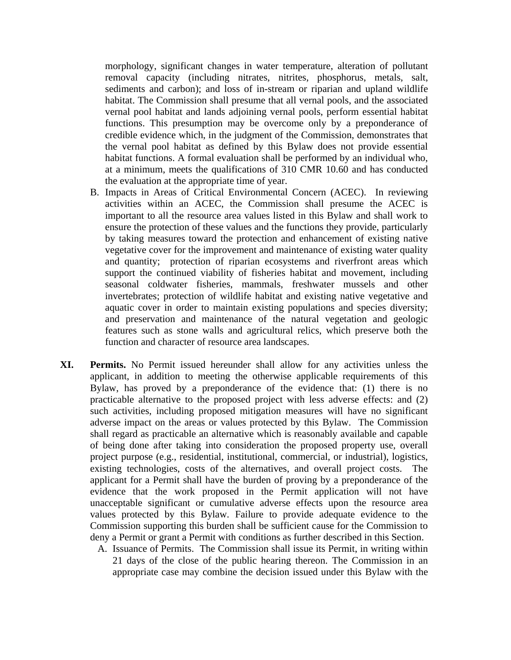morphology, significant changes in water temperature, alteration of pollutant removal capacity (including nitrates, nitrites, phosphorus, metals, salt, sediments and carbon); and loss of in-stream or riparian and upland wildlife habitat. The Commission shall presume that all vernal pools, and the associated vernal pool habitat and lands adjoining vernal pools, perform essential habitat functions. This presumption may be overcome only by a preponderance of credible evidence which, in the judgment of the Commission, demonstrates that the vernal pool habitat as defined by this Bylaw does not provide essential habitat functions. A formal evaluation shall be performed by an individual who, at a minimum, meets the qualifications of 310 CMR 10.60 and has conducted the evaluation at the appropriate time of year.

- B. Impacts in Areas of Critical Environmental Concern (ACEC). In reviewing activities within an ACEC, the Commission shall presume the ACEC is important to all the resource area values listed in this Bylaw and shall work to ensure the protection of these values and the functions they provide, particularly by taking measures toward the protection and enhancement of existing native vegetative cover for the improvement and maintenance of existing water quality and quantity; protection of riparian ecosystems and riverfront areas which support the continued viability of fisheries habitat and movement, including seasonal coldwater fisheries, mammals, freshwater mussels and other invertebrates; protection of wildlife habitat and existing native vegetative and aquatic cover in order to maintain existing populations and species diversity; and preservation and maintenance of the natural vegetation and geologic features such as stone walls and agricultural relics, which preserve both the function and character of resource area landscapes.
- **XI. Permits.** No Permit issued hereunder shall allow for any activities unless the applicant, in addition to meeting the otherwise applicable requirements of this Bylaw, has proved by a preponderance of the evidence that: (1) there is no practicable alternative to the proposed project with less adverse effects: and (2) such activities, including proposed mitigation measures will have no significant adverse impact on the areas or values protected by this Bylaw. The Commission shall regard as practicable an alternative which is reasonably available and capable of being done after taking into consideration the proposed property use, overall project purpose (e.g., residential, institutional, commercial, or industrial), logistics, existing technologies, costs of the alternatives, and overall project costs. The applicant for a Permit shall have the burden of proving by a preponderance of the evidence that the work proposed in the Permit application will not have unacceptable significant or cumulative adverse effects upon the resource area values protected by this Bylaw. Failure to provide adequate evidence to the Commission supporting this burden shall be sufficient cause for the Commission to deny a Permit or grant a Permit with conditions as further described in this Section.
	- A. Issuance of Permits. The Commission shall issue its Permit, in writing within 21 days of the close of the public hearing thereon. The Commission in an appropriate case may combine the decision issued under this Bylaw with the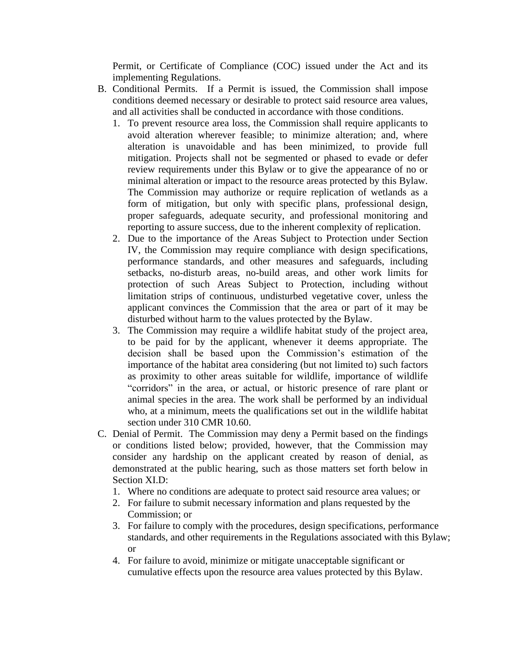Permit, or Certificate of Compliance (COC) issued under the Act and its implementing Regulations.

- B. Conditional Permits. If a Permit is issued, the Commission shall impose conditions deemed necessary or desirable to protect said resource area values, and all activities shall be conducted in accordance with those conditions.
	- 1. To prevent resource area loss, the Commission shall require applicants to avoid alteration wherever feasible; to minimize alteration; and, where alteration is unavoidable and has been minimized, to provide full mitigation. Projects shall not be segmented or phased to evade or defer review requirements under this Bylaw or to give the appearance of no or minimal alteration or impact to the resource areas protected by this Bylaw. The Commission may authorize or require replication of wetlands as a form of mitigation, but only with specific plans, professional design, proper safeguards, adequate security, and professional monitoring and reporting to assure success, due to the inherent complexity of replication.
	- 2. Due to the importance of the Areas Subject to Protection under Section IV, the Commission may require compliance with design specifications, performance standards, and other measures and safeguards, including setbacks, no-disturb areas, no-build areas, and other work limits for protection of such Areas Subject to Protection, including without limitation strips of continuous, undisturbed vegetative cover, unless the applicant convinces the Commission that the area or part of it may be disturbed without harm to the values protected by the Bylaw.
	- 3. The Commission may require a wildlife habitat study of the project area, to be paid for by the applicant, whenever it deems appropriate. The decision shall be based upon the Commission's estimation of the importance of the habitat area considering (but not limited to) such factors as proximity to other areas suitable for wildlife, importance of wildlife "corridors" in the area, or actual, or historic presence of rare plant or animal species in the area. The work shall be performed by an individual who, at a minimum, meets the qualifications set out in the wildlife habitat section under 310 CMR 10.60.
- C. Denial of Permit. The Commission may deny a Permit based on the findings or conditions listed below; provided, however, that the Commission may consider any hardship on the applicant created by reason of denial, as demonstrated at the public hearing, such as those matters set forth below in Section XI.D:
	- 1. Where no conditions are adequate to protect said resource area values; or
	- 2. For failure to submit necessary information and plans requested by the Commission; or
	- 3. For failure to comply with the procedures, design specifications, performance standards, and other requirements in the Regulations associated with this Bylaw; or
	- 4. For failure to avoid, minimize or mitigate unacceptable significant or cumulative effects upon the resource area values protected by this Bylaw.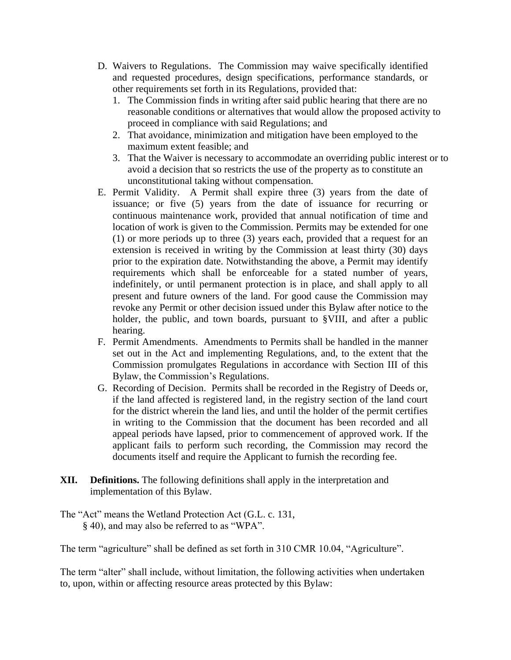- D. Waivers to Regulations. The Commission may waive specifically identified and requested procedures, design specifications, performance standards, or other requirements set forth in its Regulations, provided that:
	- 1. The Commission finds in writing after said public hearing that there are no reasonable conditions or alternatives that would allow the proposed activity to proceed in compliance with said Regulations; and
	- 2. That avoidance, minimization and mitigation have been employed to the maximum extent feasible; and
	- 3. That the Waiver is necessary to accommodate an overriding public interest or to avoid a decision that so restricts the use of the property as to constitute an unconstitutional taking without compensation.
- E. Permit Validity. A Permit shall expire three (3) years from the date of issuance; or five (5) years from the date of issuance for recurring or continuous maintenance work, provided that annual notification of time and location of work is given to the Commission. Permits may be extended for one (1) or more periods up to three (3) years each, provided that a request for an extension is received in writing by the Commission at least thirty (30) days prior to the expiration date. Notwithstanding the above, a Permit may identify requirements which shall be enforceable for a stated number of years, indefinitely, or until permanent protection is in place, and shall apply to all present and future owners of the land. For good cause the Commission may revoke any Permit or other decision issued under this Bylaw after notice to the holder, the public, and town boards, pursuant to §VIII, and after a public hearing.
- F. Permit Amendments. Amendments to Permits shall be handled in the manner set out in the Act and implementing Regulations, and, to the extent that the Commission promulgates Regulations in accordance with Section III of this Bylaw, the Commission's Regulations.
- G. Recording of Decision. Permits shall be recorded in the Registry of Deeds or, if the land affected is registered land, in the registry section of the land court for the district wherein the land lies, and until the holder of the permit certifies in writing to the Commission that the document has been recorded and all appeal periods have lapsed, prior to commencement of approved work. If the applicant fails to perform such recording, the Commission may record the documents itself and require the Applicant to furnish the recording fee.
- **XII. Definitions.** The following definitions shall apply in the interpretation and implementation of this Bylaw.
- The "Act" means the Wetland Protection Act (G.L. c. 131, § 40), and may also be referred to as "WPA".

The term "agriculture" shall be defined as set forth in 310 CMR 10.04, "Agriculture".

The term "alter" shall include, without limitation, the following activities when undertaken to, upon, within or affecting resource areas protected by this Bylaw: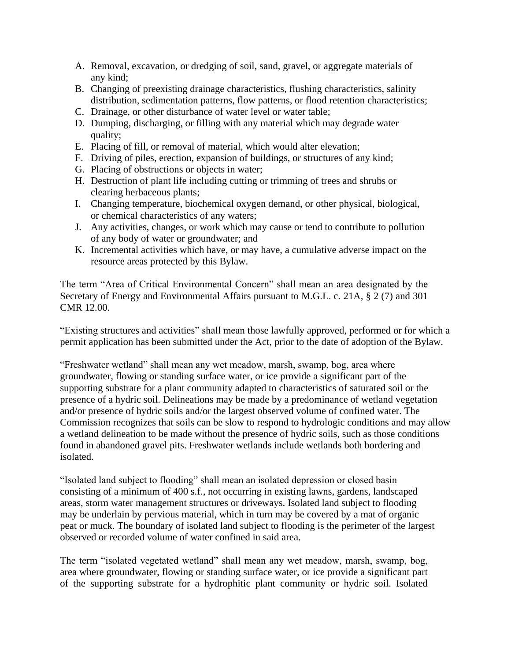- A. Removal, excavation, or dredging of soil, sand, gravel, or aggregate materials of any kind;
- B. Changing of preexisting drainage characteristics, flushing characteristics, salinity distribution, sedimentation patterns, flow patterns, or flood retention characteristics;
- C. Drainage, or other disturbance of water level or water table;
- D. Dumping, discharging, or filling with any material which may degrade water quality;
- E. Placing of fill, or removal of material, which would alter elevation;
- F. Driving of piles, erection, expansion of buildings, or structures of any kind;
- G. Placing of obstructions or objects in water;
- H. Destruction of plant life including cutting or trimming of trees and shrubs or clearing herbaceous plants;
- I. Changing temperature, biochemical oxygen demand, or other physical, biological, or chemical characteristics of any waters;
- J. Any activities, changes, or work which may cause or tend to contribute to pollution of any body of water or groundwater; and
- K. Incremental activities which have, or may have, a cumulative adverse impact on the resource areas protected by this Bylaw.

The term "Area of Critical Environmental Concern" shall mean an area designated by the Secretary of Energy and Environmental Affairs pursuant to M.G.L. c. 21A, § 2 (7) and 301 CMR 12.00.

"Existing structures and activities" shall mean those lawfully approved, performed or for which a permit application has been submitted under the Act, prior to the date of adoption of the Bylaw.

"Freshwater wetland" shall mean any wet meadow, marsh, swamp, bog, area where groundwater, flowing or standing surface water, or ice provide a significant part of the supporting substrate for a plant community adapted to characteristics of saturated soil or the presence of a hydric soil. Delineations may be made by a predominance of wetland vegetation and/or presence of hydric soils and/or the largest observed volume of confined water. The Commission recognizes that soils can be slow to respond to hydrologic conditions and may allow a wetland delineation to be made without the presence of hydric soils, such as those conditions found in abandoned gravel pits. Freshwater wetlands include wetlands both bordering and isolated.

"Isolated land subject to flooding" shall mean an isolated depression or closed basin consisting of a minimum of 400 s.f., not occurring in existing lawns, gardens, landscaped areas, storm water management structures or driveways. Isolated land subject to flooding may be underlain by pervious material, which in turn may be covered by a mat of organic peat or muck. The boundary of isolated land subject to flooding is the perimeter of the largest observed or recorded volume of water confined in said area.

The term "isolated vegetated wetland" shall mean any wet meadow, marsh, swamp, bog, area where groundwater, flowing or standing surface water, or ice provide a significant part of the supporting substrate for a hydrophitic plant community or hydric soil. Isolated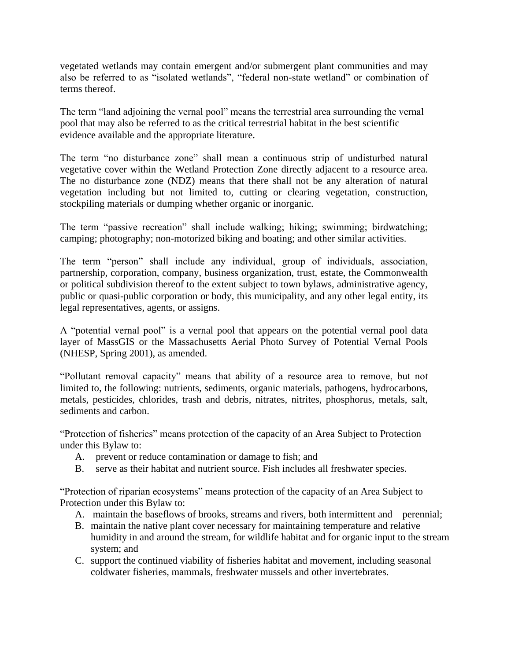vegetated wetlands may contain emergent and/or submergent plant communities and may also be referred to as "isolated wetlands", "federal non-state wetland" or combination of terms thereof.

The term "land adjoining the vernal pool" means the terrestrial area surrounding the vernal pool that may also be referred to as the critical terrestrial habitat in the best scientific evidence available and the appropriate literature.

The term "no disturbance zone" shall mean a continuous strip of undisturbed natural vegetative cover within the Wetland Protection Zone directly adjacent to a resource area. The no disturbance zone (NDZ) means that there shall not be any alteration of natural vegetation including but not limited to, cutting or clearing vegetation, construction, stockpiling materials or dumping whether organic or inorganic.

The term "passive recreation" shall include walking; hiking; swimming; birdwatching; camping; photography; non-motorized biking and boating; and other similar activities.

The term "person" shall include any individual, group of individuals, association, partnership, corporation, company, business organization, trust, estate, the Commonwealth or political subdivision thereof to the extent subject to town bylaws, administrative agency, public or quasi-public corporation or body, this municipality, and any other legal entity, its legal representatives, agents, or assigns.

A "potential vernal pool" is a vernal pool that appears on the potential vernal pool data layer of MassGIS or the Massachusetts Aerial Photo Survey of Potential Vernal Pools (NHESP, Spring 2001), as amended.

"Pollutant removal capacity" means that ability of a resource area to remove, but not limited to, the following: nutrients, sediments, organic materials, pathogens, hydrocarbons, metals, pesticides, chlorides, trash and debris, nitrates, nitrites, phosphorus, metals, salt, sediments and carbon.

"Protection of fisheries" means protection of the capacity of an Area Subject to Protection under this Bylaw to:

- A. prevent or reduce contamination or damage to fish; and
- B. serve as their habitat and nutrient source. Fish includes all freshwater species.

"Protection of riparian ecosystems" means protection of the capacity of an Area Subject to Protection under this Bylaw to:

- A. maintain the baseflows of brooks, streams and rivers, both intermittent and perennial;
- B. maintain the native plant cover necessary for maintaining temperature and relative humidity in and around the stream, for wildlife habitat and for organic input to the stream system; and
- C. support the continued viability of fisheries habitat and movement, including seasonal coldwater fisheries, mammals, freshwater mussels and other invertebrates.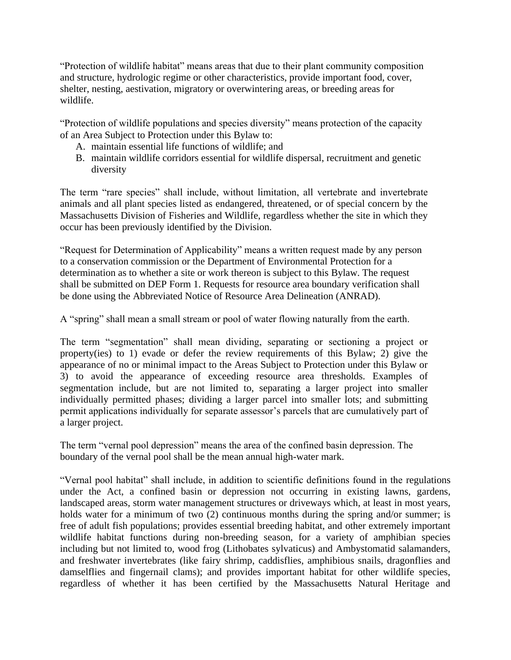"Protection of wildlife habitat" means areas that due to their plant community composition and structure, hydrologic regime or other characteristics, provide important food, cover, shelter, nesting, aestivation, migratory or overwintering areas, or breeding areas for wildlife.

"Protection of wildlife populations and species diversity" means protection of the capacity of an Area Subject to Protection under this Bylaw to:

- A. maintain essential life functions of wildlife; and
- B. maintain wildlife corridors essential for wildlife dispersal, recruitment and genetic diversity

The term "rare species" shall include, without limitation, all vertebrate and invertebrate animals and all plant species listed as endangered, threatened, or of special concern by the Massachusetts Division of Fisheries and Wildlife, regardless whether the site in which they occur has been previously identified by the Division.

"Request for Determination of Applicability" means a written request made by any person to a conservation commission or the Department of Environmental Protection for a determination as to whether a site or work thereon is subject to this Bylaw. The request shall be submitted on DEP Form 1. Requests for resource area boundary verification shall be done using the Abbreviated Notice of Resource Area Delineation (ANRAD).

A "spring" shall mean a small stream or pool of water flowing naturally from the earth.

The term "segmentation" shall mean dividing, separating or sectioning a project or property(ies) to 1) evade or defer the review requirements of this Bylaw; 2) give the appearance of no or minimal impact to the Areas Subject to Protection under this Bylaw or 3) to avoid the appearance of exceeding resource area thresholds. Examples of segmentation include, but are not limited to, separating a larger project into smaller individually permitted phases; dividing a larger parcel into smaller lots; and submitting permit applications individually for separate assessor's parcels that are cumulatively part of a larger project.

The term "vernal pool depression" means the area of the confined basin depression. The boundary of the vernal pool shall be the mean annual high-water mark.

"Vernal pool habitat" shall include, in addition to scientific definitions found in the regulations under the Act, a confined basin or depression not occurring in existing lawns, gardens, landscaped areas, storm water management structures or driveways which, at least in most years, holds water for a minimum of two (2) continuous months during the spring and/or summer; is free of adult fish populations; provides essential breeding habitat, and other extremely important wildlife habitat functions during non-breeding season, for a variety of amphibian species including but not limited to, wood frog (Lithobates sylvaticus) and Ambystomatid salamanders, and freshwater invertebrates (like fairy shrimp, caddisflies, amphibious snails, dragonflies and damselflies and fingernail clams); and provides important habitat for other wildlife species, regardless of whether it has been certified by the Massachusetts Natural Heritage and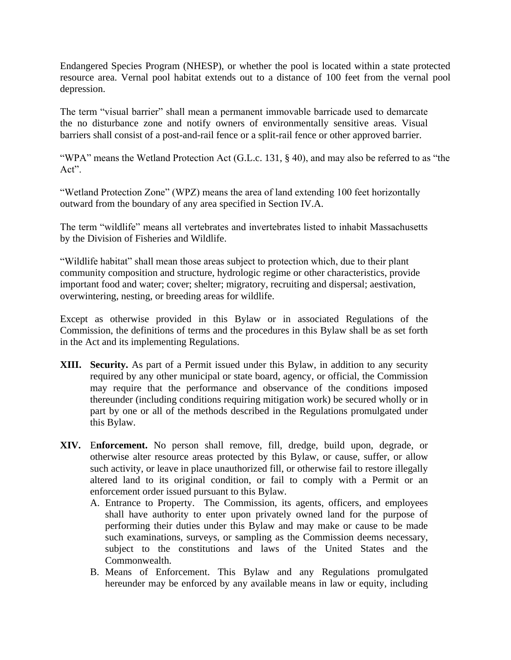Endangered Species Program (NHESP), or whether the pool is located within a state protected resource area. Vernal pool habitat extends out to a distance of 100 feet from the vernal pool depression.

The term "visual barrier" shall mean a permanent immovable barricade used to demarcate the no disturbance zone and notify owners of environmentally sensitive areas. Visual barriers shall consist of a post-and-rail fence or a split-rail fence or other approved barrier.

"WPA" means the Wetland Protection Act (G.L.c. 131, § 40), and may also be referred to as "the Act".

"Wetland Protection Zone" (WPZ) means the area of land extending 100 feet horizontally outward from the boundary of any area specified in Section IV.A.

The term "wildlife" means all vertebrates and invertebrates listed to inhabit Massachusetts by the Division of Fisheries and Wildlife.

"Wildlife habitat" shall mean those areas subject to protection which, due to their plant community composition and structure, hydrologic regime or other characteristics, provide important food and water; cover; shelter; migratory, recruiting and dispersal; aestivation, overwintering, nesting, or breeding areas for wildlife.

Except as otherwise provided in this Bylaw or in associated Regulations of the Commission, the definitions of terms and the procedures in this Bylaw shall be as set forth in the Act and its implementing Regulations.

- **XIII. Security.** As part of a Permit issued under this Bylaw, in addition to any security required by any other municipal or state board, agency, or official, the Commission may require that the performance and observance of the conditions imposed thereunder (including conditions requiring mitigation work) be secured wholly or in part by one or all of the methods described in the Regulations promulgated under this Bylaw.
- **XIV.** E**nforcement.** No person shall remove, fill, dredge, build upon, degrade, or otherwise alter resource areas protected by this Bylaw, or cause, suffer, or allow such activity, or leave in place unauthorized fill, or otherwise fail to restore illegally altered land to its original condition, or fail to comply with a Permit or an enforcement order issued pursuant to this Bylaw.
	- A. Entrance to Property. The Commission, its agents, officers, and employees shall have authority to enter upon privately owned land for the purpose of performing their duties under this Bylaw and may make or cause to be made such examinations, surveys, or sampling as the Commission deems necessary, subject to the constitutions and laws of the United States and the Commonwealth.
	- B. Means of Enforcement. This Bylaw and any Regulations promulgated hereunder may be enforced by any available means in law or equity, including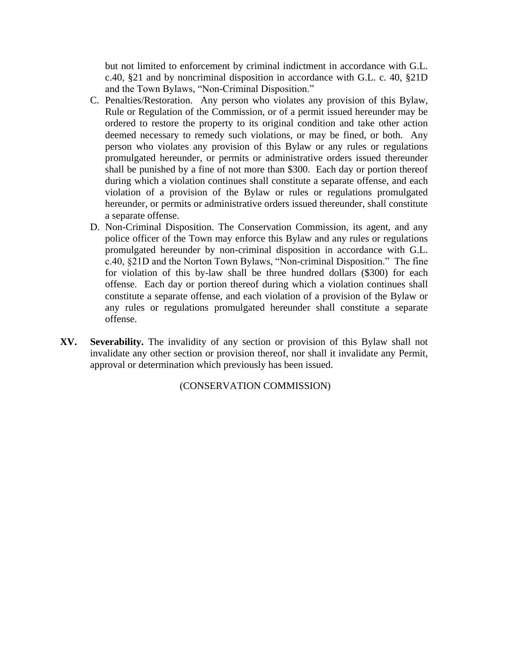but not limited to enforcement by criminal indictment in accordance with G.L. c.40, §21 and by noncriminal disposition in accordance with G.L. c. 40, §21D and the Town Bylaws, "Non-Criminal Disposition."

- C. Penalties/Restoration. Any person who violates any provision of this Bylaw, Rule or Regulation of the Commission, or of a permit issued hereunder may be ordered to restore the property to its original condition and take other action deemed necessary to remedy such violations, or may be fined, or both. Any person who violates any provision of this Bylaw or any rules or regulations promulgated hereunder, or permits or administrative orders issued thereunder shall be punished by a fine of not more than \$300. Each day or portion thereof during which a violation continues shall constitute a separate offense, and each violation of a provision of the Bylaw or rules or regulations promulgated hereunder, or permits or administrative orders issued thereunder, shall constitute a separate offense.
- D. Non-Criminal Disposition. The Conservation Commission, its agent, and any police officer of the Town may enforce this Bylaw and any rules or regulations promulgated hereunder by non-criminal disposition in accordance with G.L. c.40, §21D and the Norton Town Bylaws, "Non-criminal Disposition." The fine for violation of this by-law shall be three hundred dollars (\$300) for each offense. Each day or portion thereof during which a violation continues shall constitute a separate offense, and each violation of a provision of the Bylaw or any rules or regulations promulgated hereunder shall constitute a separate offense.
- **XV. Severability.** The invalidity of any section or provision of this Bylaw shall not invalidate any other section or provision thereof, nor shall it invalidate any Permit, approval or determination which previously has been issued.

(CONSERVATION COMMISSION)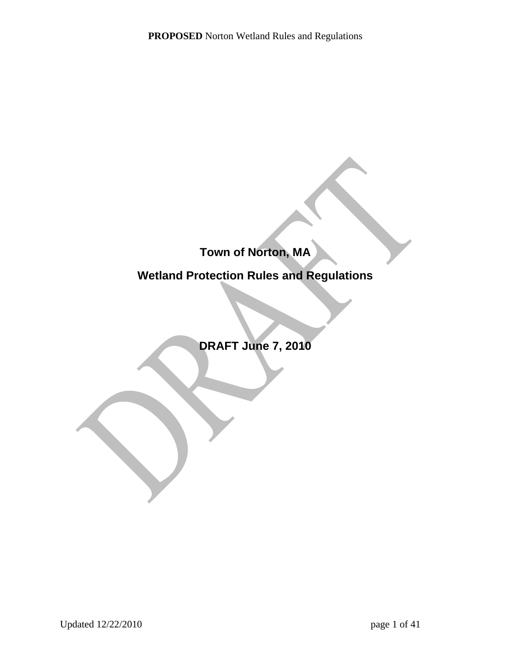# **Town of Norton, MA**

# **Wetland Protection Rules and Regulations**

**DRAFT June 7, 2010**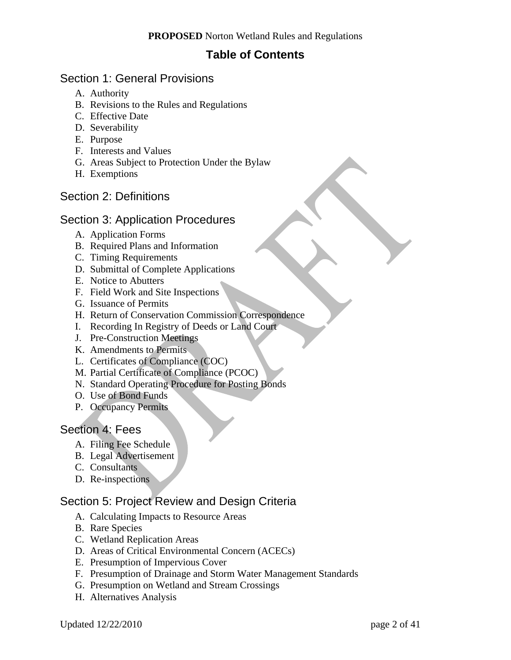# **Table of Contents**

### Section 1: General Provisions

- A. Authority
- B. Revisions to the Rules and Regulations
- C. Effective Date
- D. Severability
- E. Purpose
- F. Interests and Values
- G. Areas Subject to Protection Under the Bylaw
- H. Exemptions

### Section 2: Definitions

### Section 3: Application Procedures

- A. Application Forms
- B. Required Plans and Information
- C. Timing Requirements
- D. Submittal of Complete Applications
- E. Notice to Abutters
- F. Field Work and Site Inspections
- G. Issuance of Permits
- H. Return of Conservation Commission Correspondence
- I. Recording In Registry of Deeds or Land Court
- J. Pre-Construction Meetings
- K. Amendments to Permits
- L. Certificates of Compliance (COC)
- M. Partial Certificate of Compliance (PCOC)
- N. Standard Operating Procedure for Posting Bonds
- O. Use of Bond Funds
- P. Occupancy Permits

### Section 4: Fees

- A. Filing Fee Schedule
- B. Legal Advertisement
- C. Consultants
- D. Re-inspections

# Section 5: Project Review and Design Criteria

- A. Calculating Impacts to Resource Areas
- B. Rare Species
- C. Wetland Replication Areas
- D. Areas of Critical Environmental Concern (ACECs)
- E. Presumption of Impervious Cover
- F. Presumption of Drainage and Storm Water Management Standards
- G. Presumption on Wetland and Stream Crossings
- H. Alternatives Analysis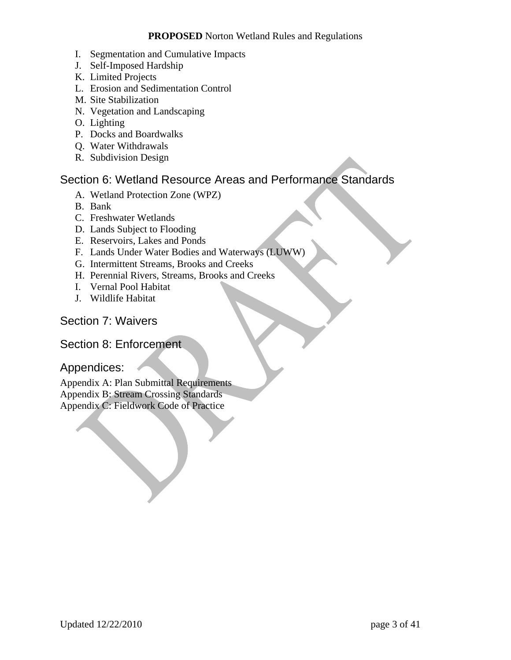- I. Segmentation and Cumulative Impacts
- J. Self-Imposed Hardship
- K. Limited Projects
- L. Erosion and Sedimentation Control
- M. Site Stabilization
- N. Vegetation and Landscaping
- O. Lighting
- P. Docks and Boardwalks
- Q. Water Withdrawals
- R. Subdivision Design

### Section 6: Wetland Resource Areas and Performance Standards

- A. Wetland Protection Zone (WPZ)
- B. Bank
- C. Freshwater Wetlands
- D. Lands Subject to Flooding
- E. Reservoirs, Lakes and Ponds
- F. Lands Under Water Bodies and Waterways (LUWW)
- G. Intermittent Streams, Brooks and Creeks
- H. Perennial Rivers, Streams, Brooks and Creeks
- I. Vernal Pool Habitat
- J. Wildlife Habitat

### Section 7: Waivers

### Section 8: Enforcement

### Appendices:

Appendix A: Plan Submittal Requirements Appendix B: Stream Crossing Standards Appendix C: Fieldwork Code of Practice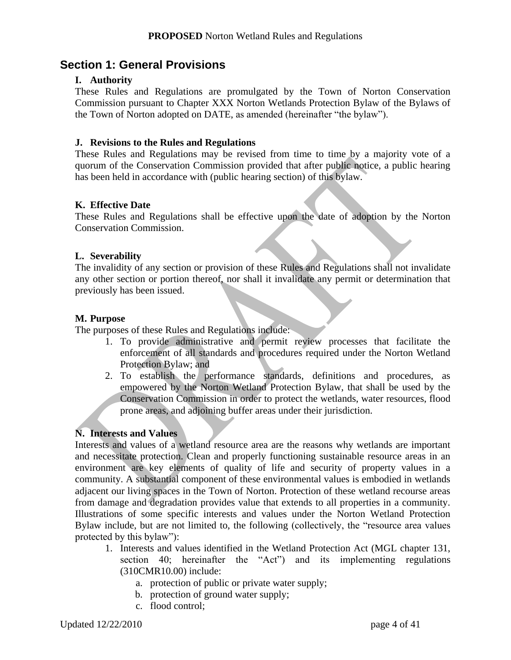# **Section 1: General Provisions**

### **I. Authority**

These Rules and Regulations are promulgated by the Town of Norton Conservation Commission pursuant to Chapter XXX Norton Wetlands Protection Bylaw of the Bylaws of the Town of Norton adopted on DATE, as amended (hereinafter "the bylaw").

#### **J. Revisions to the Rules and Regulations**

These Rules and Regulations may be revised from time to time by a majority vote of a quorum of the Conservation Commission provided that after public notice, a public hearing has been held in accordance with (public hearing section) of this bylaw.

### **K. Effective Date**

These Rules and Regulations shall be effective upon the date of adoption by the Norton Conservation Commission.

#### **L. Severability**

The invalidity of any section or provision of these Rules and Regulations shall not invalidate any other section or portion thereof, nor shall it invalidate any permit or determination that previously has been issued.

#### **M. Purpose**

The purposes of these Rules and Regulations include:

- 1. To provide administrative and permit review processes that facilitate the enforcement of all standards and procedures required under the Norton Wetland Protection Bylaw; and
- 2. To establish the performance standards, definitions and procedures, as empowered by the Norton Wetland Protection Bylaw, that shall be used by the Conservation Commission in order to protect the wetlands, water resources, flood prone areas, and adjoining buffer areas under their jurisdiction.

#### **N. Interests and Values**

Interests and values of a wetland resource area are the reasons why wetlands are important and necessitate protection. Clean and properly functioning sustainable resource areas in an environment are key elements of quality of life and security of property values in a community. A substantial component of these environmental values is embodied in wetlands adjacent our living spaces in the Town of Norton. Protection of these wetland recourse areas from damage and degradation provides value that extends to all properties in a community. Illustrations of some specific interests and values under the Norton Wetland Protection Bylaw include, but are not limited to, the following (collectively, the "resource area values protected by this bylaw"):

- 1. Interests and values identified in the Wetland Protection Act (MGL chapter 131, section 40; hereinafter the "Act") and its implementing regulations (310CMR10.00) include:
	- a. protection of public or private water supply;
	- b. protection of ground water supply;
	- c. flood control;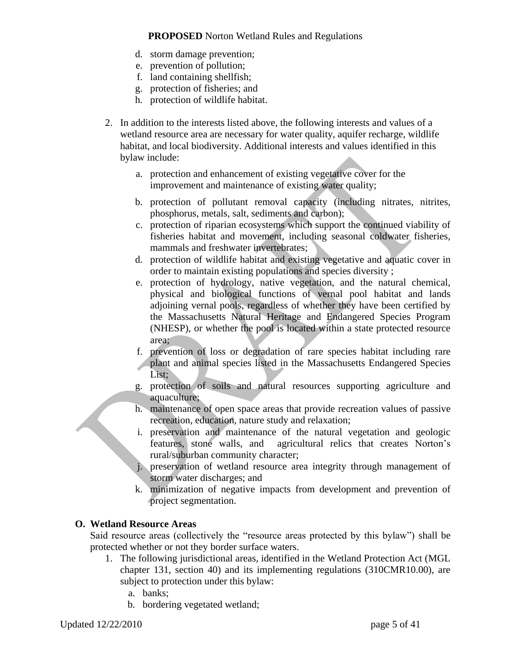- d. storm damage prevention;
- e. prevention of pollution;
- f. land containing shellfish;
- g. protection of fisheries; and
- h. protection of wildlife habitat.
- 2. In addition to the interests listed above, the following interests and values of a wetland resource area are necessary for water quality, aquifer recharge, wildlife habitat, and local biodiversity. Additional interests and values identified in this bylaw include:
	- a. protection and enhancement of existing vegetative cover for the improvement and maintenance of existing water quality;
	- b. protection of pollutant removal capacity (including nitrates, nitrites, phosphorus, metals, salt, sediments and carbon);
	- c. protection of riparian ecosystems which support the continued viability of fisheries habitat and movement, including seasonal coldwater fisheries, mammals and freshwater invertebrates;
	- d. protection of wildlife habitat and existing vegetative and aquatic cover in order to maintain existing populations and species diversity ;
	- e. protection of hydrology, native vegetation, and the natural chemical, physical and biological functions of vernal pool habitat and lands adjoining vernal pools, regardless of whether they have been certified by the Massachusetts Natural Heritage and Endangered Species Program (NHESP), or whether the pool is located within a state protected resource area;
	- f. prevention of loss or degradation of rare species habitat including rare plant and animal species listed in the Massachusetts Endangered Species List;
	- g. protection of soils and natural resources supporting agriculture and aquaculture;
	- h. maintenance of open space areas that provide recreation values of passive recreation, education, nature study and relaxation;
	- i. preservation and maintenance of the natural vegetation and geologic features, stone walls, and agricultural relics that creates Norton"s rural/suburban community character;
	- j. preservation of wetland resource area integrity through management of storm water discharges; and
	- k. minimization of negative impacts from development and prevention of project segmentation.

#### **O. Wetland Resource Areas**

Said resource areas (collectively the "resource areas protected by this bylaw") shall be protected whether or not they border surface waters.

- 1. The following jurisdictional areas, identified in the Wetland Protection Act (MGL chapter 131, section 40) and its implementing regulations (310CMR10.00), are subject to protection under this bylaw:
	- a. banks;
	- b. bordering vegetated wetland;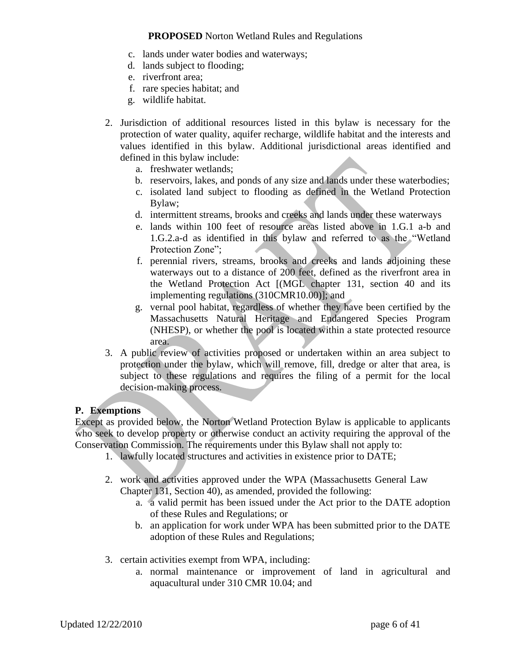- c. lands under water bodies and waterways;
- d. lands subject to flooding;
- e. riverfront area;
- f. rare species habitat; and
- g. wildlife habitat.
- 2. Jurisdiction of additional resources listed in this bylaw is necessary for the protection of water quality, aquifer recharge, wildlife habitat and the interests and values identified in this bylaw. Additional jurisdictional areas identified and defined in this bylaw include:
	- a. freshwater wetlands;
	- b. reservoirs, lakes, and ponds of any size and lands under these waterbodies;
	- c. isolated land subject to flooding as defined in the Wetland Protection Bylaw;
	- d. intermittent streams, brooks and creeks and lands under these waterways
	- e. lands within 100 feet of resource areas listed above in 1.G.1 a-b and 1.G.2.a-d as identified in this bylaw and referred to as the "Wetland Protection Zone":
	- f. perennial rivers, streams, brooks and creeks and lands adjoining these waterways out to a distance of 200 feet, defined as the riverfront area in the Wetland Protection Act [(MGL chapter 131, section 40 and its implementing regulations (310CMR10.00)]; and
	- g. vernal pool habitat, regardless of whether they have been certified by the Massachusetts Natural Heritage and Endangered Species Program (NHESP), or whether the pool is located within a state protected resource area.
- 3. A public review of activities proposed or undertaken within an area subject to protection under the bylaw, which will remove, fill, dredge or alter that area, is subject to these regulations and requires the filing of a permit for the local decision-making process.

#### **P. Exemptions**

Except as provided below, the Norton Wetland Protection Bylaw is applicable to applicants who seek to develop property or otherwise conduct an activity requiring the approval of the Conservation Commission. The requirements under this Bylaw shall not apply to:

- 1. lawfully located structures and activities in existence prior to DATE;
- 2. work and activities approved under the WPA (Massachusetts General Law Chapter 131, Section 40), as amended, provided the following:
	- a. a valid permit has been issued under the Act prior to the DATE adoption of these Rules and Regulations; or
	- b. an application for work under WPA has been submitted prior to the DATE adoption of these Rules and Regulations;
- 3. certain activities exempt from WPA, including:
	- a. normal maintenance or improvement of land in agricultural and aquacultural under 310 CMR 10.04; and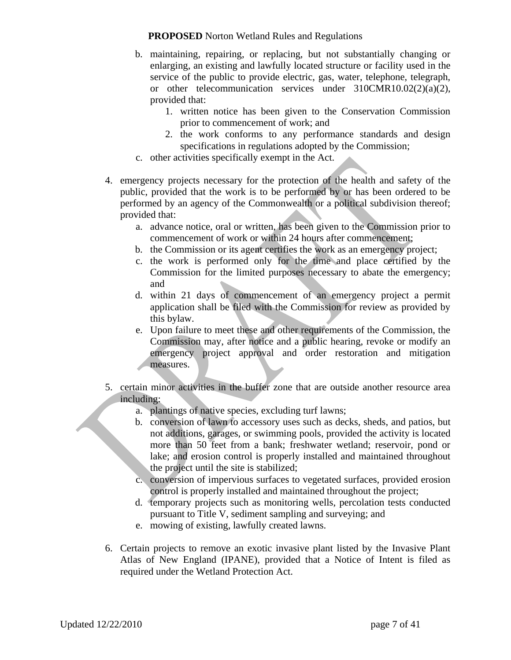- b. maintaining, repairing, or replacing, but not substantially changing or enlarging, an existing and lawfully located structure or facility used in the service of the public to provide electric, gas, water, telephone, telegraph, or other telecommunication services under 310CMR10.02(2)(a)(2), provided that:
	- 1. written notice has been given to the Conservation Commission prior to commencement of work; and
	- 2. the work conforms to any performance standards and design specifications in regulations adopted by the Commission;
- c. other activities specifically exempt in the Act.
- 4. emergency projects necessary for the protection of the health and safety of the public, provided that the work is to be performed by or has been ordered to be performed by an agency of the Commonwealth or a political subdivision thereof; provided that:
	- a. advance notice, oral or written, has been given to the Commission prior to commencement of work or within 24 hours after commencement;
	- b. the Commission or its agent certifies the work as an emergency project;
	- c. the work is performed only for the time and place certified by the Commission for the limited purposes necessary to abate the emergency; and
	- d. within 21 days of commencement of an emergency project a permit application shall be filed with the Commission for review as provided by this bylaw.
	- e. Upon failure to meet these and other requirements of the Commission, the Commission may, after notice and a public hearing, revoke or modify an emergency project approval and order restoration and mitigation measures.
- 5. certain minor activities in the buffer zone that are outside another resource area including:
	- a. plantings of native species, excluding turf lawns;
	- b. conversion of lawn to accessory uses such as decks, sheds, and patios, but not additions, garages, or swimming pools, provided the activity is located more than 50 feet from a bank; freshwater wetland; reservoir, pond or lake; and erosion control is properly installed and maintained throughout the project until the site is stabilized;
	- c. conversion of impervious surfaces to vegetated surfaces, provided erosion control is properly installed and maintained throughout the project;
	- d. temporary projects such as monitoring wells, percolation tests conducted pursuant to Title V, sediment sampling and surveying; and
	- e. mowing of existing, lawfully created lawns.
- 6. Certain projects to remove an exotic invasive plant listed by the Invasive Plant Atlas of New England (IPANE), provided that a Notice of Intent is filed as required under the Wetland Protection Act.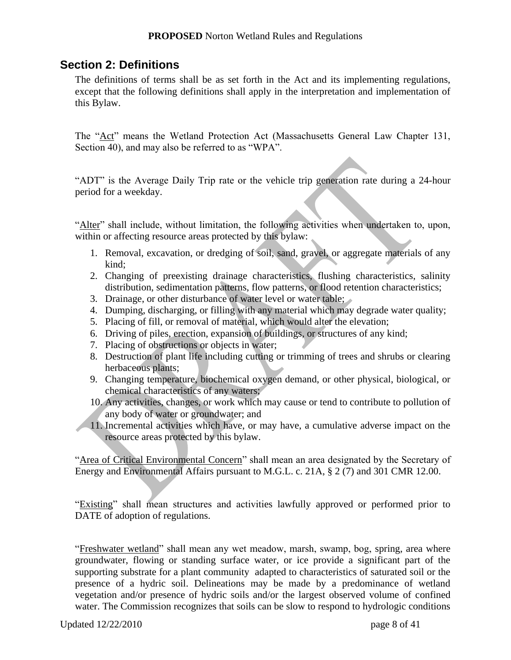### **Section 2: Definitions**

The definitions of terms shall be as set forth in the Act and its implementing regulations, except that the following definitions shall apply in the interpretation and implementation of this Bylaw.

The "Act" means the Wetland Protection Act (Massachusetts General Law Chapter 131, Section 40), and may also be referred to as "WPA".

"ADT" is the Average Daily Trip rate or the vehicle trip generation rate during a 24-hour period for a weekday.

"Alter" shall include, without limitation, the following activities when undertaken to, upon, within or affecting resource areas protected by this bylaw:

- 1. Removal, excavation, or dredging of soil, sand, gravel, or aggregate materials of any kind;
- 2. Changing of preexisting drainage characteristics, flushing characteristics, salinity distribution, sedimentation patterns, flow patterns, or flood retention characteristics;
- 3. Drainage, or other disturbance of water level or water table;
- 4. Dumping, discharging, or filling with any material which may degrade water quality;
- 5. Placing of fill, or removal of material, which would alter the elevation;
- 6. Driving of piles, erection, expansion of buildings, or structures of any kind;
- 7. Placing of obstructions or objects in water;
- 8. Destruction of plant life including cutting or trimming of trees and shrubs or clearing herbaceous plants;
- 9. Changing temperature, biochemical oxygen demand, or other physical, biological, or chemical characteristics of any waters;
- 10. Any activities, changes, or work which may cause or tend to contribute to pollution of any body of water or groundwater; and
- 11. Incremental activities which have, or may have, a cumulative adverse impact on the resource areas protected by this bylaw.

"Area of Critical Environmental Concern" shall mean an area designated by the Secretary of Energy and Environmental Affairs pursuant to M.G.L. c. 21A, § 2 (7) and 301 CMR 12.00.

"Existing" shall mean structures and activities lawfully approved or performed prior to DATE of adoption of regulations.

"Freshwater wetland" shall mean any wet meadow, marsh, swamp, bog, spring, area where groundwater, flowing or standing surface water, or ice provide a significant part of the supporting substrate for a plant community adapted to characteristics of saturated soil or the presence of a hydric soil. Delineations may be made by a predominance of wetland vegetation and/or presence of hydric soils and/or the largest observed volume of confined water. The Commission recognizes that soils can be slow to respond to hydrologic conditions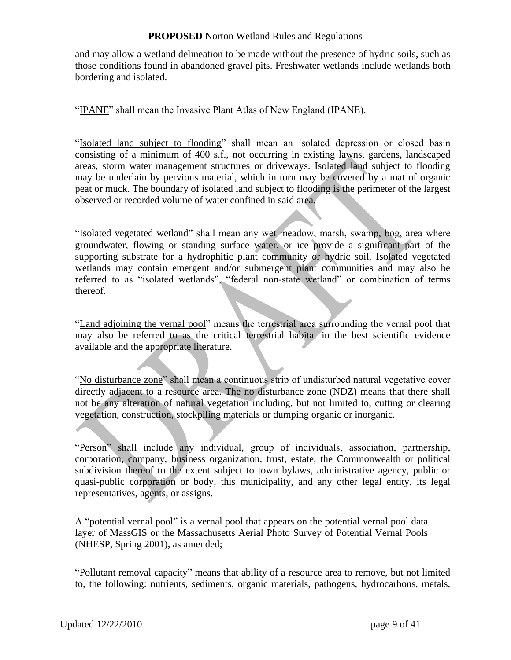and may allow a wetland delineation to be made without the presence of hydric soils, such as those conditions found in abandoned gravel pits. Freshwater wetlands include wetlands both bordering and isolated.

"IPANE" shall mean the Invasive Plant Atlas of New England (IPANE).

"Isolated land subject to flooding" shall mean an isolated depression or closed basin consisting of a minimum of 400 s.f., not occurring in existing lawns, gardens, landscaped areas, storm water management structures or driveways. Isolated land subject to flooding may be underlain by pervious material, which in turn may be covered by a mat of organic peat or muck. The boundary of isolated land subject to flooding is the perimeter of the largest observed or recorded volume of water confined in said area.

"Isolated vegetated wetland" shall mean any wet meadow, marsh, swamp, bog, area where groundwater, flowing or standing surface water, or ice provide a significant part of the supporting substrate for a hydrophitic plant community or hydric soil. Isolated vegetated wetlands may contain emergent and/or submergent plant communities and may also be referred to as "isolated wetlands", "federal non-state wetland" or combination of terms thereof.

"Land adjoining the vernal pool" means the terrestrial area surrounding the vernal pool that may also be referred to as the critical terrestrial habitat in the best scientific evidence available and the appropriate literature.

"No disturbance zone" shall mean a continuous strip of undisturbed natural vegetative cover directly adjacent to a resource area. The no disturbance zone (NDZ) means that there shall not be any alteration of natural vegetation including, but not limited to, cutting or clearing vegetation, construction, stockpiling materials or dumping organic or inorganic.

"Person" shall include any individual, group of individuals, association, partnership, corporation, company, business organization, trust, estate, the Commonwealth or political subdivision thereof to the extent subject to town bylaws, administrative agency, public or quasi-public corporation or body, this municipality, and any other legal entity, its legal representatives, agents, or assigns.

A "potential vernal pool" is a vernal pool that appears on the potential vernal pool data layer of MassGIS or the Massachusetts Aerial Photo Survey of Potential Vernal Pools (NHESP, Spring 2001), as amended;

"Pollutant removal capacity" means that ability of a resource area to remove, but not limited to, the following: nutrients, sediments, organic materials, pathogens, hydrocarbons, metals,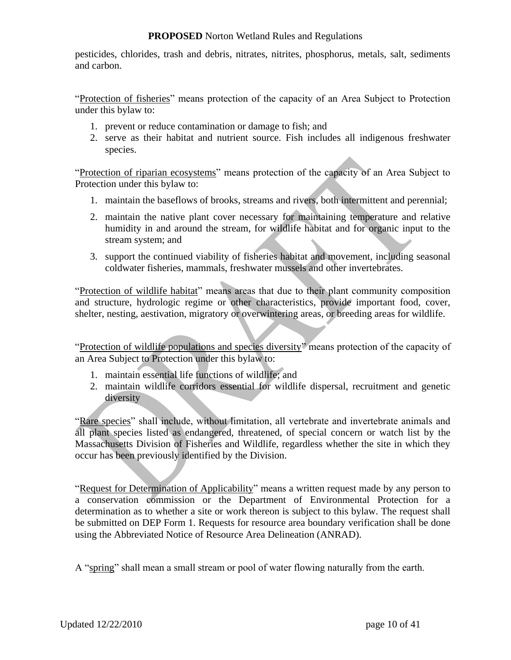pesticides, chlorides, trash and debris, nitrates, nitrites, phosphorus, metals, salt, sediments and carbon.

"Protection of fisheries" means protection of the capacity of an Area Subject to Protection under this bylaw to:

- 1. prevent or reduce contamination or damage to fish; and
- 2. serve as their habitat and nutrient source. Fish includes all indigenous freshwater species.

"Protection of riparian ecosystems" means protection of the capacity of an Area Subject to Protection under this bylaw to:

- 1. maintain the baseflows of brooks, streams and rivers, both intermittent and perennial;
- 2. maintain the native plant cover necessary for maintaining temperature and relative humidity in and around the stream, for wildlife habitat and for organic input to the stream system; and
- 3. support the continued viability of fisheries habitat and movement, including seasonal coldwater fisheries, mammals, freshwater mussels and other invertebrates.

"Protection of wildlife habitat" means areas that due to their plant community composition and structure, hydrologic regime or other characteristics, provide important food, cover, shelter, nesting, aestivation, migratory or overwintering areas, or breeding areas for wildlife.

"Protection of wildlife populations and species diversity" means protection of the capacity of an Area Subject to Protection under this bylaw to:

- 1. maintain essential life functions of wildlife; and
- 2. maintain wildlife corridors essential for wildlife dispersal, recruitment and genetic diversity

"Rare species" shall include, without limitation, all vertebrate and invertebrate animals and all plant species listed as endangered, threatened, of special concern or watch list by the Massachusetts Division of Fisheries and Wildlife, regardless whether the site in which they occur has been previously identified by the Division.

"Request for Determination of Applicability" means a written request made by any person to a conservation commission or the Department of Environmental Protection for a determination as to whether a site or work thereon is subject to this bylaw. The request shall be submitted on DEP Form 1. Requests for resource area boundary verification shall be done using the Abbreviated Notice of Resource Area Delineation (ANRAD).

A "spring" shall mean a small stream or pool of water flowing naturally from the earth.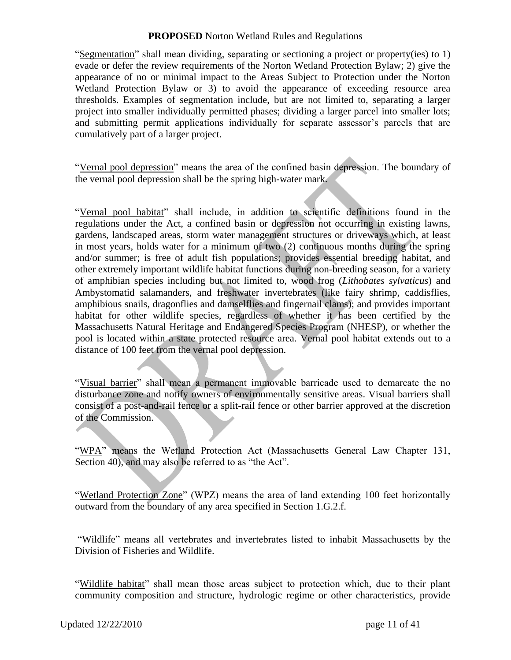"Segmentation" shall mean dividing, separating or sectioning a project or property(ies) to 1) evade or defer the review requirements of the Norton Wetland Protection Bylaw; 2) give the appearance of no or minimal impact to the Areas Subject to Protection under the Norton Wetland Protection Bylaw or 3) to avoid the appearance of exceeding resource area thresholds. Examples of segmentation include, but are not limited to, separating a larger project into smaller individually permitted phases; dividing a larger parcel into smaller lots; and submitting permit applications individually for separate assessor"s parcels that are cumulatively part of a larger project.

"Vernal pool depression" means the area of the confined basin depression. The boundary of the vernal pool depression shall be the spring high-water mark.

"Vernal pool habitat" shall include, in addition to scientific definitions found in the regulations under the Act, a confined basin or depression not occurring in existing lawns, gardens, landscaped areas, storm water management structures or driveways which, at least in most years, holds water for a minimum of two (2) continuous months during the spring and/or summer; is free of adult fish populations; provides essential breeding habitat, and other extremely important wildlife habitat functions during non-breeding season, for a variety of amphibian species including but not limited to, wood frog (*Lithobates sylvaticus*) and Ambystomatid salamanders, and freshwater invertebrates (like fairy shrimp, caddisflies, amphibious snails, dragonflies and damselflies and fingernail clams); and provides important habitat for other wildlife species, regardless of whether it has been certified by the Massachusetts Natural Heritage and Endangered Species Program (NHESP), or whether the pool is located within a state protected resource area. Vernal pool habitat extends out to a distance of 100 feet from the vernal pool depression.

"Visual barrier" shall mean a permanent immovable barricade used to demarcate the no disturbance zone and notify owners of environmentally sensitive areas. Visual barriers shall consist of a post-and-rail fence or a split-rail fence or other barrier approved at the discretion of the Commission.

"WPA" means the Wetland Protection Act (Massachusetts General Law Chapter 131, Section 40), and may also be referred to as "the Act".

"Wetland Protection Zone" (WPZ) means the area of land extending 100 feet horizontally outward from the boundary of any area specified in Section 1.G.2.f.

"Wildlife" means all vertebrates and invertebrates listed to inhabit Massachusetts by the Division of Fisheries and Wildlife.

"Wildlife habitat" shall mean those areas subject to protection which, due to their plant community composition and structure, hydrologic regime or other characteristics, provide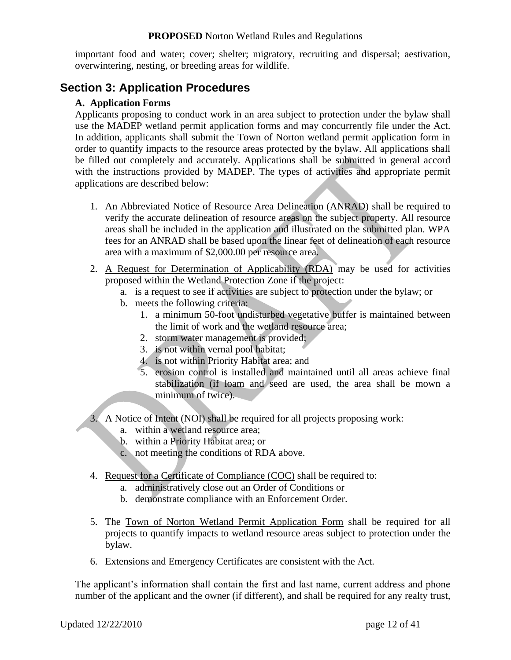important food and water; cover; shelter; migratory, recruiting and dispersal; aestivation, overwintering, nesting, or breeding areas for wildlife.

# **Section 3: Application Procedures**

#### **A. Application Forms**

Applicants proposing to conduct work in an area subject to protection under the bylaw shall use the MADEP wetland permit application forms and may concurrently file under the Act. In addition, applicants shall submit the Town of Norton wetland permit application form in order to quantify impacts to the resource areas protected by the bylaw. All applications shall be filled out completely and accurately. Applications shall be submitted in general accord with the instructions provided by MADEP. The types of activities and appropriate permit applications are described below:

- 1. An Abbreviated Notice of Resource Area Delineation (ANRAD) shall be required to verify the accurate delineation of resource areas on the subject property. All resource areas shall be included in the application and illustrated on the submitted plan. WPA fees for an ANRAD shall be based upon the linear feet of delineation of each resource area with a maximum of \$2,000.00 per resource area.
- 2. A Request for Determination of Applicability (RDA) may be used for activities proposed within the Wetland Protection Zone if the project:
	- a. is a request to see if activities are subject to protection under the bylaw; or
	- b. meets the following criteria:
		- 1. a minimum 50-foot undisturbed vegetative buffer is maintained between the limit of work and the wetland resource area;
		- 2. storm water management is provided;
		- 3. is not within vernal pool habitat;
		- 4. is not within Priority Habitat area; and
		- 5. erosion control is installed and maintained until all areas achieve final stabilization (if loam and seed are used, the area shall be mown a minimum of twice).
- 3. A Notice of Intent (NOI) shall be required for all projects proposing work:
	- a. within a wetland resource area;
	- b. within a Priority Habitat area; or
	- c. not meeting the conditions of RDA above.
- 4. Request for a Certificate of Compliance (COC) shall be required to:
	- a. administratively close out an Order of Conditions or
	- b. demonstrate compliance with an Enforcement Order.
- 5. The Town of Norton Wetland Permit Application Form shall be required for all projects to quantify impacts to wetland resource areas subject to protection under the bylaw.
- 6. Extensions and Emergency Certificates are consistent with the Act.

The applicant"s information shall contain the first and last name, current address and phone number of the applicant and the owner (if different), and shall be required for any realty trust,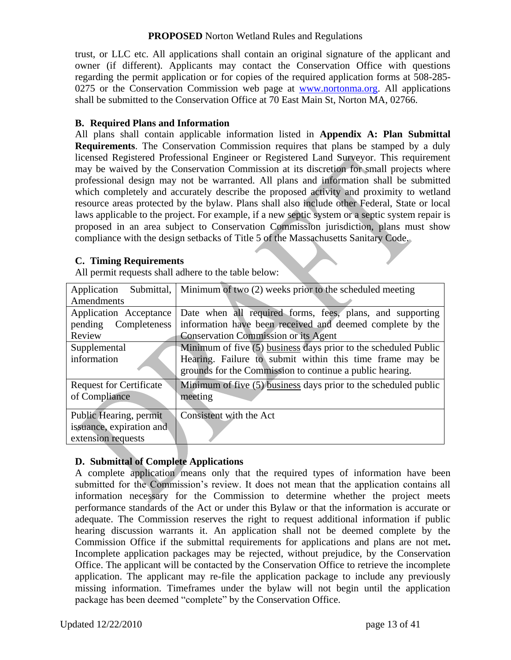trust, or LLC etc. All applications shall contain an original signature of the applicant and owner (if different). Applicants may contact the Conservation Office with questions regarding the permit application or for copies of the required application forms at 508-285 0275 or the Conservation Commission web page at [www.nortonma.org.](http://www.nortonma.org/) All applications shall be submitted to the Conservation Office at 70 East Main St, Norton MA, 02766.

#### **B. Required Plans and Information**

All plans shall contain applicable information listed in **Appendix A: Plan Submittal Requirements**. The Conservation Commission requires that plans be stamped by a duly licensed Registered Professional Engineer or Registered Land Surveyor. This requirement may be waived by the Conservation Commission at its discretion for small projects where professional design may not be warranted. All plans and information shall be submitted which completely and accurately describe the proposed activity and proximity to wetland resource areas protected by the bylaw. Plans shall also include other Federal, State or local laws applicable to the project. For example, if a new septic system or a septic system repair is proposed in an area subject to Conservation Commission jurisdiction, plans must show compliance with the design setbacks of Title 5 of the Massachusetts Sanitary Code.

#### **C. Timing Requirements**

| Submittal,<br>Application      | Minimum of two $(2)$ weeks prior to the scheduled meeting         |
|--------------------------------|-------------------------------------------------------------------|
| Amendments                     |                                                                   |
| Application Acceptance         | Date when all required forms, fees, plans, and supporting         |
| pending Completeness           | information have been received and deemed complete by the         |
| Review                         | <b>Conservation Commission or its Agent</b>                       |
| Supplemental                   | Minimum of five $(5)$ business days prior to the scheduled Public |
| information                    | Hearing. Failure to submit within this time frame may be          |
|                                | grounds for the Commission to continue a public hearing.          |
| <b>Request for Certificate</b> | Minimum of five (5) business days prior to the scheduled public   |
| of Compliance                  | meeting                                                           |
|                                |                                                                   |
| Public Hearing, permit         | Consistent with the Act                                           |
| issuance, expiration and       |                                                                   |
| extension requests             |                                                                   |

All permit requests shall adhere to the table below:

#### **D. Submittal of Complete Applications**

A complete application means only that the required types of information have been submitted for the Commission's review. It does not mean that the application contains all information necessary for the Commission to determine whether the project meets performance standards of the Act or under this Bylaw or that the information is accurate or adequate. The Commission reserves the right to request additional information if public hearing discussion warrants it. An application shall not be deemed complete by the Commission Office if the submittal requirements for applications and plans are not met**.** Incomplete application packages may be rejected, without prejudice, by the Conservation Office. The applicant will be contacted by the Conservation Office to retrieve the incomplete application. The applicant may re-file the application package to include any previously missing information. Timeframes under the bylaw will not begin until the application package has been deemed "complete" by the Conservation Office.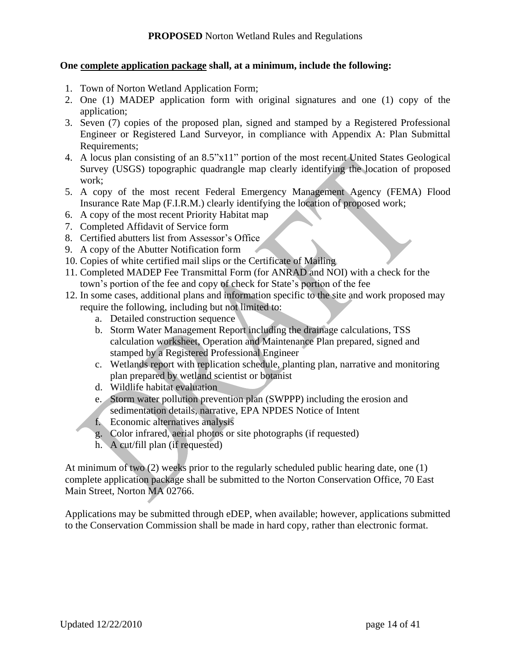#### **One complete application package shall, at a minimum, include the following:**

- 1. Town of Norton Wetland Application Form;
- 2. One (1) MADEP application form with original signatures and one (1) copy of the application;
- 3. Seven (7) copies of the proposed plan, signed and stamped by a Registered Professional Engineer or Registered Land Surveyor, in compliance with Appendix A: Plan Submittal Requirements;
- 4. A locus plan consisting of an 8.5"x11" portion of the most recent United States Geological Survey (USGS) topographic quadrangle map clearly identifying the location of proposed work;
- 5. A copy of the most recent Federal Emergency Management Agency (FEMA) Flood Insurance Rate Map (F.I.R.M.) clearly identifying the location of proposed work;
- 6. A copy of the most recent Priority Habitat map
- 7. Completed Affidavit of Service form
- 8. Certified abutters list from Assessor's Office
- 9. A copy of the Abutter Notification form
- 10. Copies of white certified mail slips or the Certificate of Mailing
- 11. Completed MADEP Fee Transmittal Form (for ANRAD and NOI) with a check for the town"s portion of the fee and copy of check for State"s portion of the fee
- 12. In some cases, additional plans and information specific to the site and work proposed may require the following, including but not limited to:
	- a. Detailed construction sequence
	- b. Storm Water Management Report including the drainage calculations, TSS calculation worksheet, Operation and Maintenance Plan prepared, signed and stamped by a Registered Professional Engineer
	- c. Wetlands report with replication schedule, planting plan, narrative and monitoring plan prepared by wetland scientist or botanist
	- d. Wildlife habitat evaluation
	- e. Storm water pollution prevention plan (SWPPP) including the erosion and sedimentation details, narrative, EPA NPDES Notice of Intent
	- f. Economic alternatives analysis
	- g. Color infrared, aerial photos or site photographs (if requested)
	- h. A cut/fill plan (if requested)

At minimum of two (2) weeks prior to the regularly scheduled public hearing date, one (1) complete application package shall be submitted to the Norton Conservation Office, 70 East Main Street, Norton MA 02766.

Applications may be submitted through eDEP, when available; however, applications submitted to the Conservation Commission shall be made in hard copy, rather than electronic format.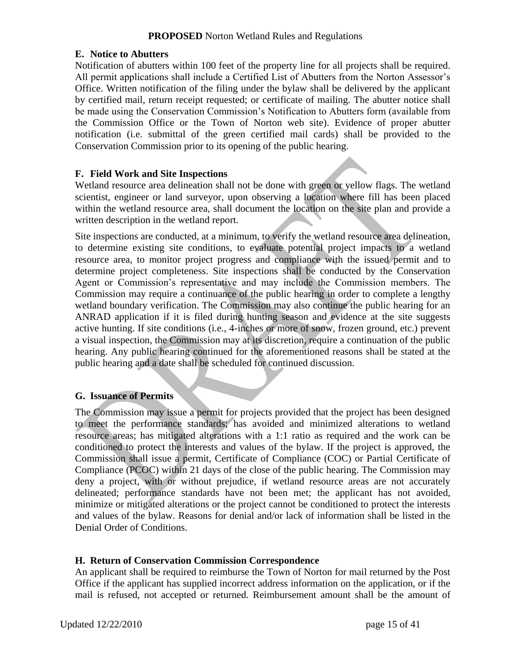#### **E. Notice to Abutters**

Notification of abutters within 100 feet of the property line for all projects shall be required. All permit applications shall include a Certified List of Abutters from the Norton Assessor's Office. Written notification of the filing under the bylaw shall be delivered by the applicant by certified mail, return receipt requested; or certificate of mailing. The abutter notice shall be made using the Conservation Commission"s Notification to Abutters form (available from the Commission Office or the Town of Norton web site). Evidence of proper abutter notification (i.e. submittal of the green certified mail cards) shall be provided to the Conservation Commission prior to its opening of the public hearing.

#### **F. Field Work and Site Inspections**

Wetland resource area delineation shall not be done with green or yellow flags. The wetland scientist, engineer or land surveyor, upon observing a location where fill has been placed within the wetland resource area, shall document the location on the site plan and provide a written description in the wetland report.

Site inspections are conducted, at a minimum, to verify the wetland resource area delineation, to determine existing site conditions, to evaluate potential project impacts to a wetland resource area, to monitor project progress and compliance with the issued permit and to determine project completeness. Site inspections shall be conducted by the Conservation Agent or Commission"s representative and may include the Commission members. The Commission may require a continuance of the public hearing in order to complete a lengthy wetland boundary verification. The Commission may also continue the public hearing for an ANRAD application if it is filed during hunting season and evidence at the site suggests active hunting. If site conditions (i.e., 4-inches or more of snow, frozen ground, etc.) prevent a visual inspection, the Commission may at its discretion, require a continuation of the public hearing. Any public hearing continued for the aforementioned reasons shall be stated at the public hearing and a date shall be scheduled for continued discussion.

#### **G. Issuance of Permits**

The Commission may issue a permit for projects provided that the project has been designed to meet the performance standards; has avoided and minimized alterations to wetland resource areas; has mitigated alterations with a 1:1 ratio as required and the work can be conditioned to protect the interests and values of the bylaw. If the project is approved, the Commission shall issue a permit, Certificate of Compliance (COC) or Partial Certificate of Compliance (PCOC) within 21 days of the close of the public hearing. The Commission may deny a project, with or without prejudice, if wetland resource areas are not accurately delineated; performance standards have not been met; the applicant has not avoided, minimize or mitigated alterations or the project cannot be conditioned to protect the interests and values of the bylaw. Reasons for denial and/or lack of information shall be listed in the Denial Order of Conditions.

#### **H. Return of Conservation Commission Correspondence**

An applicant shall be required to reimburse the Town of Norton for mail returned by the Post Office if the applicant has supplied incorrect address information on the application, or if the mail is refused, not accepted or returned. Reimbursement amount shall be the amount of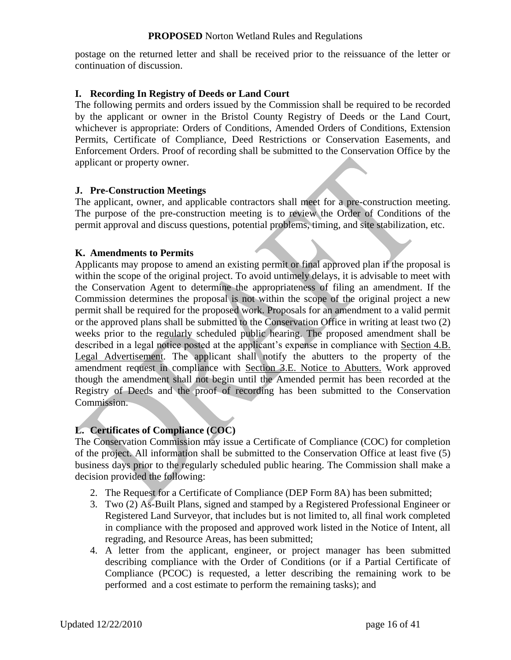postage on the returned letter and shall be received prior to the reissuance of the letter or continuation of discussion.

#### **I. Recording In Registry of Deeds or Land Court**

The following permits and orders issued by the Commission shall be required to be recorded by the applicant or owner in the Bristol County Registry of Deeds or the Land Court, whichever is appropriate: Orders of Conditions, Amended Orders of Conditions, Extension Permits, Certificate of Compliance, Deed Restrictions or Conservation Easements, and Enforcement Orders. Proof of recording shall be submitted to the Conservation Office by the applicant or property owner.

#### **J. Pre-Construction Meetings**

The applicant, owner, and applicable contractors shall meet for a pre-construction meeting. The purpose of the pre-construction meeting is to review the Order of Conditions of the permit approval and discuss questions, potential problems, timing, and site stabilization, etc.

#### **K. Amendments to Permits**

Applicants may propose to amend an existing permit or final approved plan if the proposal is within the scope of the original project. To avoid untimely delays, it is advisable to meet with the Conservation Agent to determine the appropriateness of filing an amendment. If the Commission determines the proposal is not within the scope of the original project a new permit shall be required for the proposed work. Proposals for an amendment to a valid permit or the approved plans shall be submitted to the Conservation Office in writing at least two (2) weeks prior to the regularly scheduled public hearing. The proposed amendment shall be described in a legal notice posted at the applicant's expense in compliance with Section 4.B. Legal Advertisement. The applicant shall notify the abutters to the property of the amendment request in compliance with Section 3.E. Notice to Abutters. Work approved though the amendment shall not begin until the Amended permit has been recorded at the Registry of Deeds and the proof of recording has been submitted to the Conservation Commission.

#### **L. Certificates of Compliance (COC)**

The Conservation Commission may issue a Certificate of Compliance (COC) for completion of the project. All information shall be submitted to the Conservation Office at least five (5) business days prior to the regularly scheduled public hearing. The Commission shall make a decision provided the following:

- 2. The Request for a Certificate of Compliance (DEP Form 8A) has been submitted;
- 3. Two (2) As-Built Plans, signed and stamped by a Registered Professional Engineer or Registered Land Surveyor, that includes but is not limited to, all final work completed in compliance with the proposed and approved work listed in the Notice of Intent, all regrading, and Resource Areas, has been submitted;
- 4. A letter from the applicant, engineer, or project manager has been submitted describing compliance with the Order of Conditions (or if a Partial Certificate of Compliance (PCOC) is requested, a letter describing the remaining work to be performed and a cost estimate to perform the remaining tasks); and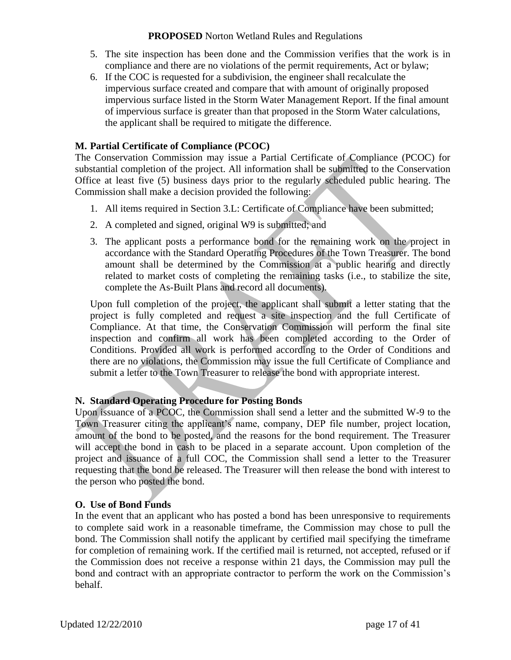- 5. The site inspection has been done and the Commission verifies that the work is in compliance and there are no violations of the permit requirements, Act or bylaw;
- 6. If the COC is requested for a subdivision, the engineer shall recalculate the impervious surface created and compare that with amount of originally proposed impervious surface listed in the Storm Water Management Report. If the final amount of impervious surface is greater than that proposed in the Storm Water calculations, the applicant shall be required to mitigate the difference.

#### **M. Partial Certificate of Compliance (PCOC)**

The Conservation Commission may issue a Partial Certificate of Compliance (PCOC) for substantial completion of the project. All information shall be submitted to the Conservation Office at least five (5) business days prior to the regularly scheduled public hearing. The Commission shall make a decision provided the following:

- 1. All items required in Section 3.L: Certificate of Compliance have been submitted;
- 2. A completed and signed, original W9 is submitted; and
- 3. The applicant posts a performance bond for the remaining work on the project in accordance with the Standard Operating Procedures of the Town Treasurer. The bond amount shall be determined by the Commission at a public hearing and directly related to market costs of completing the remaining tasks (i.e., to stabilize the site, complete the As-Built Plans and record all documents).

Upon full completion of the project, the applicant shall submit a letter stating that the project is fully completed and request a site inspection and the full Certificate of Compliance. At that time, the Conservation Commission will perform the final site inspection and confirm all work has been completed according to the Order of Conditions. Provided all work is performed according to the Order of Conditions and there are no violations, the Commission may issue the full Certificate of Compliance and submit a letter to the Town Treasurer to release the bond with appropriate interest.

#### **N. Standard Operating Procedure for Posting Bonds**

Upon issuance of a PCOC, the Commission shall send a letter and the submitted W-9 to the Town Treasurer citing the applicant"s name, company, DEP file number, project location, amount of the bond to be posted, and the reasons for the bond requirement. The Treasurer will accept the bond in cash to be placed in a separate account. Upon completion of the project and issuance of a full COC, the Commission shall send a letter to the Treasurer requesting that the bond be released. The Treasurer will then release the bond with interest to the person who posted the bond.

### **O. Use of Bond Funds**

In the event that an applicant who has posted a bond has been unresponsive to requirements to complete said work in a reasonable timeframe, the Commission may chose to pull the bond. The Commission shall notify the applicant by certified mail specifying the timeframe for completion of remaining work. If the certified mail is returned, not accepted, refused or if the Commission does not receive a response within 21 days, the Commission may pull the bond and contract with an appropriate contractor to perform the work on the Commission's behalf.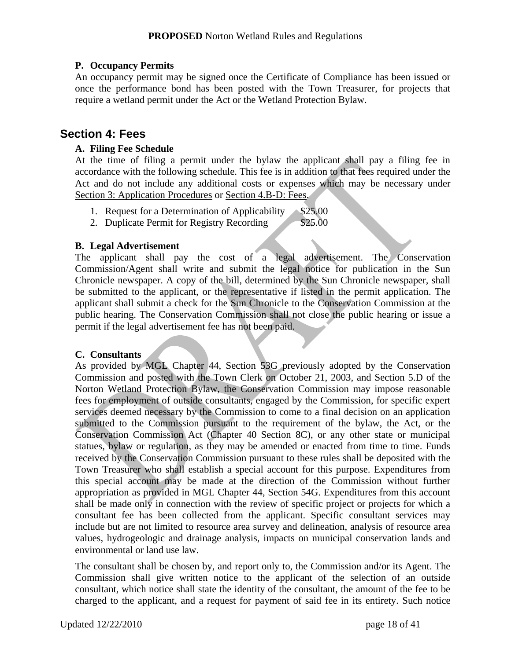### **P. Occupancy Permits**

An occupancy permit may be signed once the Certificate of Compliance has been issued or once the performance bond has been posted with the Town Treasurer, for projects that require a wetland permit under the Act or the Wetland Protection Bylaw.

### **Section 4: Fees**

### **A. Filing Fee Schedule**

At the time of filing a permit under the bylaw the applicant shall pay a filing fee in accordance with the following schedule. This fee is in addition to that fees required under the Act and do not include any additional costs or expenses which may be necessary under Section 3: Application Procedures or Section 4.B-D: Fees.

- 1. Request for a Determination of Applicability  $\sim$  \$25.00
- 2. Duplicate Permit for Registry Recording \$25.00

#### **B. Legal Advertisement**

The applicant shall pay the cost of a legal advertisement. The Conservation Commission/Agent shall write and submit the legal notice for publication in the Sun Chronicle newspaper. A copy of the bill, determined by the Sun Chronicle newspaper, shall be submitted to the applicant, or the representative if listed in the permit application. The applicant shall submit a check for the Sun Chronicle to the Conservation Commission at the public hearing. The Conservation Commission shall not close the public hearing or issue a permit if the legal advertisement fee has not been paid.

#### **C. Consultants**

As provided by MGL Chapter 44, Section 53G previously adopted by the Conservation Commission and posted with the Town Clerk on October 21, 2003, and Section 5.D of the Norton Wetland Protection Bylaw, the Conservation Commission may impose reasonable fees for employment of outside consultants, engaged by the Commission, for specific expert services deemed necessary by the Commission to come to a final decision on an application submitted to the Commission pursuant to the requirement of the bylaw, the Act, or the Conservation Commission Act (Chapter 40 Section 8C), or any other state or municipal statues, bylaw or regulation, as they may be amended or enacted from time to time. Funds received by the Conservation Commission pursuant to these rules shall be deposited with the Town Treasurer who shall establish a special account for this purpose. Expenditures from this special account may be made at the direction of the Commission without further appropriation as provided in MGL Chapter 44, Section 54G. Expenditures from this account shall be made only in connection with the review of specific project or projects for which a consultant fee has been collected from the applicant. Specific consultant services may include but are not limited to resource area survey and delineation, analysis of resource area values, hydrogeologic and drainage analysis, impacts on municipal conservation lands and environmental or land use law.

The consultant shall be chosen by, and report only to, the Commission and/or its Agent. The Commission shall give written notice to the applicant of the selection of an outside consultant, which notice shall state the identity of the consultant, the amount of the fee to be charged to the applicant, and a request for payment of said fee in its entirety. Such notice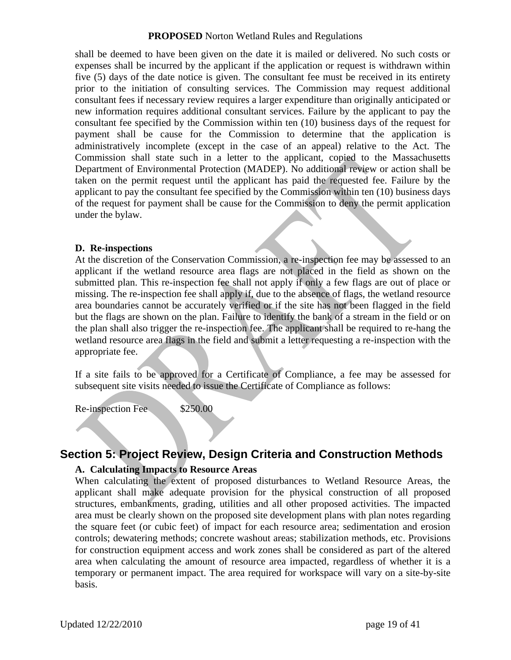shall be deemed to have been given on the date it is mailed or delivered. No such costs or expenses shall be incurred by the applicant if the application or request is withdrawn within five (5) days of the date notice is given. The consultant fee must be received in its entirety prior to the initiation of consulting services. The Commission may request additional consultant fees if necessary review requires a larger expenditure than originally anticipated or new information requires additional consultant services. Failure by the applicant to pay the consultant fee specified by the Commission within ten (10) business days of the request for payment shall be cause for the Commission to determine that the application is administratively incomplete (except in the case of an appeal) relative to the Act. The Commission shall state such in a letter to the applicant, copied to the Massachusetts Department of Environmental Protection (MADEP). No additional review or action shall be taken on the permit request until the applicant has paid the requested fee. Failure by the applicant to pay the consultant fee specified by the Commission within ten (10) business days of the request for payment shall be cause for the Commission to deny the permit application under the bylaw.

#### **D. Re-inspections**

At the discretion of the Conservation Commission, a re-inspection fee may be assessed to an applicant if the wetland resource area flags are not placed in the field as shown on the submitted plan. This re-inspection fee shall not apply if only a few flags are out of place or missing. The re-inspection fee shall apply if, due to the absence of flags, the wetland resource area boundaries cannot be accurately verified or if the site has not been flagged in the field but the flags are shown on the plan. Failure to identify the bank of a stream in the field or on the plan shall also trigger the re-inspection fee. The applicant shall be required to re-hang the wetland resource area flags in the field and submit a letter requesting a re-inspection with the appropriate fee.

If a site fails to be approved for a Certificate of Compliance, a fee may be assessed for subsequent site visits needed to issue the Certificate of Compliance as follows:

Re-inspection Fee \$250.00

### **Section 5: Project Review, Design Criteria and Construction Methods**

#### **A. Calculating Impacts to Resource Areas**

When calculating the extent of proposed disturbances to Wetland Resource Areas, the applicant shall make adequate provision for the physical construction of all proposed structures, embankments, grading, utilities and all other proposed activities. The impacted area must be clearly shown on the proposed site development plans with plan notes regarding the square feet (or cubic feet) of impact for each resource area; sedimentation and erosion controls; dewatering methods; concrete washout areas; stabilization methods, etc. Provisions for construction equipment access and work zones shall be considered as part of the altered area when calculating the amount of resource area impacted, regardless of whether it is a temporary or permanent impact. The area required for workspace will vary on a site-by-site basis.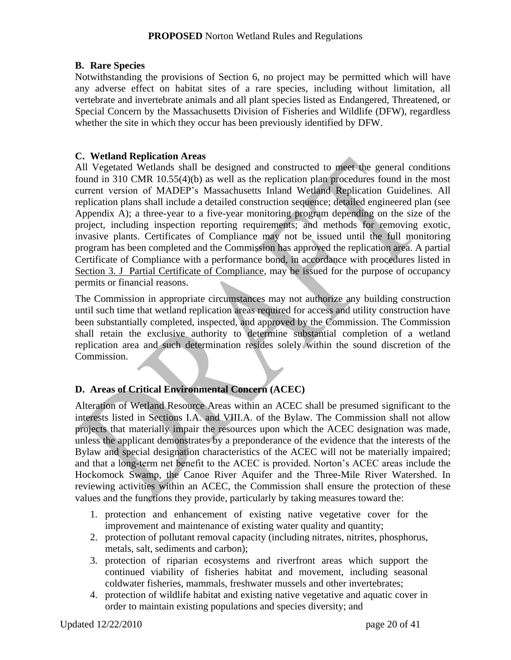#### **B. Rare Species**

Notwithstanding the provisions of Section 6, no project may be permitted which will have any adverse effect on habitat sites of a rare species, including without limitation, all vertebrate and invertebrate animals and all plant species listed as Endangered, Threatened, or Special Concern by the Massachusetts Division of Fisheries and Wildlife (DFW), regardless whether the site in which they occur has been previously identified by DFW.

#### **C. Wetland Replication Areas**

All Vegetated Wetlands shall be designed and constructed to meet the general conditions found in 310 CMR 10.55(4)(b) as well as the replication plan procedures found in the most current version of MADEP"s Massachusetts Inland Wetland Replication Guidelines. All replication plans shall include a detailed construction sequence; detailed engineered plan (see Appendix A); a three-year to a five-year monitoring program depending on the size of the project, including inspection reporting requirements; and methods for removing exotic, invasive plants. Certificates of Compliance may not be issued until the full monitoring program has been completed and the Commission has approved the replication area. A partial Certificate of Compliance with a performance bond, in accordance with procedures listed in Section 3. J Partial Certificate of Compliance, may be issued for the purpose of occupancy permits or financial reasons.

The Commission in appropriate circumstances may not authorize any building construction until such time that wetland replication areas required for access and utility construction have been substantially completed, inspected, and approved by the Commission. The Commission shall retain the exclusive authority to determine substantial completion of a wetland replication area and such determination resides solely within the sound discretion of the Commission.

#### **D. Areas of Critical Environmental Concern (ACEC)**

Alteration of Wetland Resource Areas within an ACEC shall be presumed significant to the interests listed in Sections I.A. and VIII.A. of the Bylaw. The Commission shall not allow projects that materially impair the resources upon which the ACEC designation was made, unless the applicant demonstrates by a preponderance of the evidence that the interests of the Bylaw and special designation characteristics of the ACEC will not be materially impaired; and that a long-term net benefit to the ACEC is provided. Norton"s ACEC areas include the Hockomock Swamp, the Canoe River Aquifer and the Three-Mile River Watershed. In reviewing activities within an ACEC, the Commission shall ensure the protection of these values and the functions they provide, particularly by taking measures toward the:

- 1. protection and enhancement of existing native vegetative cover for the improvement and maintenance of existing water quality and quantity;
- 2. protection of pollutant removal capacity (including nitrates, nitrites, phosphorus, metals, salt, sediments and carbon);
- 3. protection of riparian ecosystems and riverfront areas which support the continued viability of fisheries habitat and movement, including seasonal coldwater fisheries, mammals, freshwater mussels and other invertebrates;
- 4. protection of wildlife habitat and existing native vegetative and aquatic cover in order to maintain existing populations and species diversity; and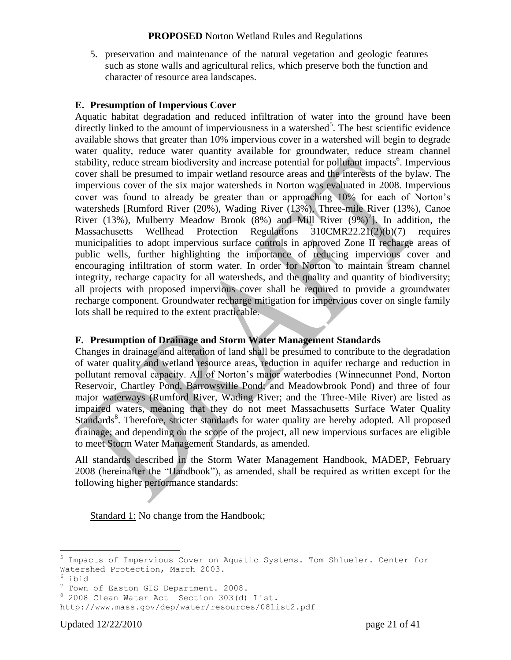5. preservation and maintenance of the natural vegetation and geologic features such as stone walls and agricultural relics, which preserve both the function and character of resource area landscapes.

#### **E. Presumption of Impervious Cover**

Aquatic habitat degradation and reduced infiltration of water into the ground have been directly linked to the amount of imperviousness in a watershed<sup>5</sup>. The best scientific evidence available shows that greater than 10% impervious cover in a watershed will begin to degrade water quality, reduce water quantity available for groundwater, reduce stream channel stability, reduce stream biodiversity and increase potential for pollutant impacts<sup>6</sup>. Impervious cover shall be presumed to impair wetland resource areas and the interests of the bylaw. The impervious cover of the six major watersheds in Norton was evaluated in 2008. Impervious cover was found to already be greater than or approaching 10% for each of Norton"s watersheds [Rumford River (20%), Wading River (13%), Three-mile River (13%), Canoe River (13%), Mulberry Meadow Brook (8%) and Mill River  $(9\%)^7$ ]. In addition, the Massachusetts Wellhead Protection Regulations 310CMR22.21(2)(b)(7) requires municipalities to adopt impervious surface controls in approved Zone II recharge areas of public wells, further highlighting the importance of reducing impervious cover and encouraging infiltration of storm water. In order for Norton to maintain stream channel integrity, recharge capacity for all watersheds, and the quality and quantity of biodiversity; all projects with proposed impervious cover shall be required to provide a groundwater recharge component. Groundwater recharge mitigation for impervious cover on single family lots shall be required to the extent practicable.

#### **F. Presumption of Drainage and Storm Water Management Standards**

Changes in drainage and alteration of land shall be presumed to contribute to the degradation of water quality and wetland resource areas, reduction in aquifer recharge and reduction in pollutant removal capacity. All of Norton"s major waterbodies (Winnecunnet Pond, Norton Reservoir, Chartley Pond, Barrowsville Pond; and Meadowbrook Pond) and three of four major waterways (Rumford River, Wading River; and the Three-Mile River) are listed as impaired waters, meaning that they do not meet Massachusetts Surface Water Quality Standards<sup>8</sup>. Therefore, stricter standards for water quality are hereby adopted. All proposed drainage; and depending on the scope of the project, all new impervious surfaces are eligible to meet Storm Water Management Standards, as amended.

All standards described in the Storm Water Management Handbook, MADEP, February 2008 (hereinafter the "Handbook"), as amended, shall be required as written except for the following higher performance standards:

Standard 1: No change from the Handbook;

 $\overline{a}$ 

<sup>5</sup> Impacts of Impervious Cover on Aquatic Systems. Tom Shlueler. Center for Watershed Protection, March 2003.

 $6$  ibid

<sup>&</sup>lt;sup>7</sup> Town of Easton GIS Department. 2008.

<sup>8</sup> 2008 Clean Water Act Section 303(d) List.

http://www.mass.gov/dep/water/resources/08list2.pdf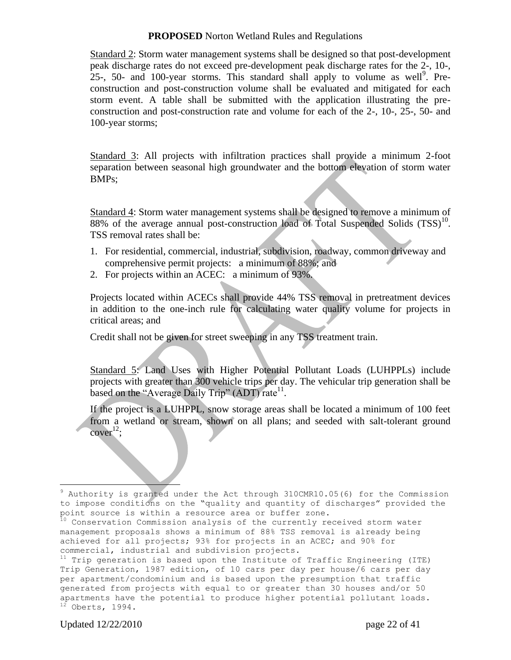Standard 2: Storm water management systems shall be designed so that post-development peak discharge rates do not exceed pre-development peak discharge rates for the 2-, 10-, 25-, 50- and 100-year storms. This standard shall apply to volume as well<sup>9</sup>. Preconstruction and post-construction volume shall be evaluated and mitigated for each storm event. A table shall be submitted with the application illustrating the preconstruction and post-construction rate and volume for each of the 2-, 10-, 25-, 50- and 100-year storms;

Standard 3: All projects with infiltration practices shall provide a minimum 2-foot separation between seasonal high groundwater and the bottom elevation of storm water BMPs;

Standard 4: Storm water management systems shall be designed to remove a minimum of  $88\%$  of the average annual post-construction load of Total Suspended Solids  $(TSS)^{10}$ . TSS removal rates shall be:

- 1. For residential, commercial, industrial, subdivision, roadway, common driveway and comprehensive permit projects: a minimum of 88%; and
- 2. For projects within an ACEC: a minimum of 93%.

Projects located within ACECs shall provide 44% TSS removal in pretreatment devices in addition to the one-inch rule for calculating water quality volume for projects in critical areas; and

Credit shall not be given for street sweeping in any TSS treatment train.

Standard 5: Land Uses with Higher Potential Pollutant Loads (LUHPPLs) include projects with greater than 300 vehicle trips per day. The vehicular trip generation shall be based on the "Average Daily Trip"  $(ADT)$  rate<sup>11</sup>.

If the project is a LUHPPL, snow storage areas shall be located a minimum of 100 feet from a wetland or stream, shown on all plans; and seeded with salt-tolerant ground  $cover^{12};$ 

Updated  $12/22/2010$  page 22 of 41

 $\overline{a}$ <sup>9</sup> Authority is granted under the Act through 310CMR10.05(6) for the Commission to impose conditions on the "quality and quantity of discharges" provided the point source is within a resource area or buffer zone.

 $10$  Conservation Commission analysis of the currently received storm water management proposals shows a minimum of 88% TSS removal is already being achieved for all projects; 93% for projects in an ACEC; and 90% for commercial, industrial and subdivision projects.

 $11$  Trip generation is based upon the Institute of Traffic Engineering (ITE) Trip Generation, 1987 edition, of 10 cars per day per house/6 cars per day per apartment/condominium and is based upon the presumption that traffic generated from projects with equal to or greater than 30 houses and/or 50 apartments have the potential to produce higher potential pollutant loads.  $12$  Oberts, 1994.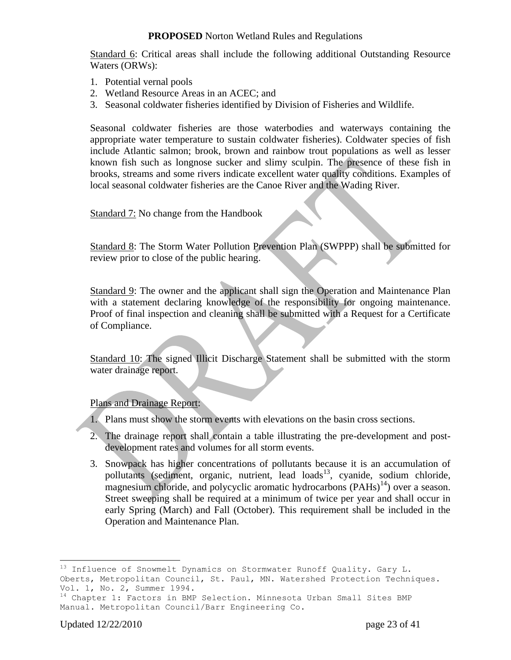Standard 6: Critical areas shall include the following additional Outstanding Resource Waters (ORWs):

- 1. Potential vernal pools
- 2. Wetland Resource Areas in an ACEC; and
- 3. Seasonal coldwater fisheries identified by Division of Fisheries and Wildlife.

Seasonal coldwater fisheries are those waterbodies and waterways containing the appropriate water temperature to sustain coldwater fisheries). Coldwater species of fish include Atlantic salmon; brook, brown and rainbow trout populations as well as lesser known fish such as longnose sucker and slimy sculpin. The presence of these fish in brooks, streams and some rivers indicate excellent water quality conditions. Examples of local seasonal coldwater fisheries are the Canoe River and the Wading River.

Standard 7: No change from the Handbook

Standard 8: The Storm Water Pollution Prevention Plan (SWPPP) shall be submitted for review prior to close of the public hearing.

Standard 9: The owner and the applicant shall sign the Operation and Maintenance Plan with a statement declaring knowledge of the responsibility for ongoing maintenance. Proof of final inspection and cleaning shall be submitted with a Request for a Certificate of Compliance.

Standard 10: The signed Illicit Discharge Statement shall be submitted with the storm water drainage report.

#### Plans and Drainage Report:

- 1. Plans must show the storm events with elevations on the basin cross sections.
- 2. The drainage report shall contain a table illustrating the pre-development and postdevelopment rates and volumes for all storm events.
- 3. Snowpack has higher concentrations of pollutants because it is an accumulation of pollutants (sediment, organic, nutrient, lead loads<sup>13</sup>, cyanide, sodium chloride, magnesium chloride, and polycyclic aromatic hydrocarbons  $(PAHs)^{14}$ ) over a season. Street sweeping shall be required at a minimum of twice per year and shall occur in early Spring (March) and Fall (October). This requirement shall be included in the Operation and Maintenance Plan.

 $\overline{a}$ 

 $^{13}$  Influence of Snowmelt Dynamics on Stormwater Runoff Quality. Gary L. Oberts, Metropolitan Council, St. Paul, MN. Watershed Protection Techniques. Vol. 1, No. 2, Summer 1994.

<sup>&</sup>lt;sup>14</sup> Chapter 1: Factors in BMP Selection. Minnesota Urban Small Sites BMP Manual. Metropolitan Council/Barr Engineering Co.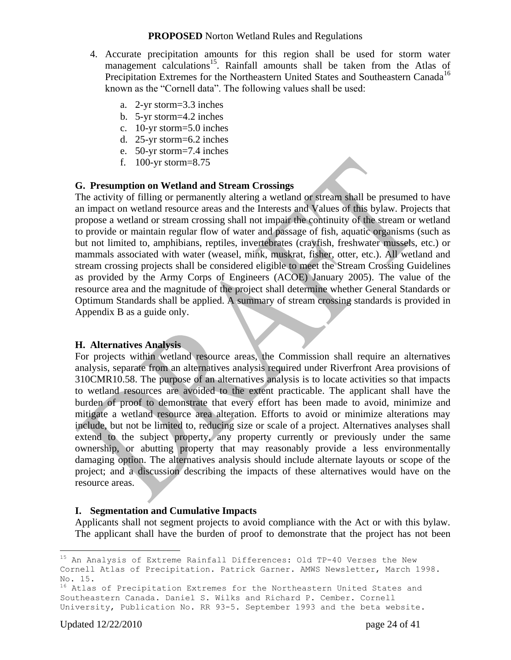- 4. Accurate precipitation amounts for this region shall be used for storm water management calculations<sup>15</sup>. Rainfall amounts shall be taken from the Atlas of Precipitation Extremes for the Northeastern United States and Southeastern Canada<sup>16</sup> known as the "Cornell data". The following values shall be used:
	- a. 2-yr storm=3.3 inches
	- b. 5-yr storm=4.2 inches
	- c. 10-yr storm=5.0 inches
	- d. 25-yr storm=6.2 inches
	- e. 50-yr storm=7.4 inches
	- f. 100-yr storm=8.75

#### **G. Presumption on Wetland and Stream Crossings**

The activity of filling or permanently altering a wetland or stream shall be presumed to have an impact on wetland resource areas and the Interests and Values of this bylaw. Projects that propose a wetland or stream crossing shall not impair the continuity of the stream or wetland to provide or maintain regular flow of water and passage of fish, aquatic organisms (such as but not limited to, amphibians, reptiles, invertebrates (crayfish, freshwater mussels, etc.) or mammals associated with water (weasel, mink, muskrat, fisher, otter, etc.). All wetland and stream crossing projects shall be considered eligible to meet the Stream Crossing Guidelines as provided by the Army Corps of Engineers (ACOE) January 2005). The value of the resource area and the magnitude of the project shall determine whether General Standards or Optimum Standards shall be applied. A summary of stream crossing standards is provided in Appendix B as a guide only.

#### **H. Alternatives Analysis**

For projects within wetland resource areas, the Commission shall require an alternatives analysis, separate from an alternatives analysis required under Riverfront Area provisions of 310CMR10.58. The purpose of an alternatives analysis is to locate activities so that impacts to wetland resources are avoided to the extent practicable. The applicant shall have the burden of proof to demonstrate that every effort has been made to avoid, minimize and mitigate a wetland resource area alteration. Efforts to avoid or minimize alterations may include, but not be limited to, reducing size or scale of a project. Alternatives analyses shall extend to the subject property, any property currently or previously under the same ownership, or abutting property that may reasonably provide a less environmentally damaging option. The alternatives analysis should include alternate layouts or scope of the project; and a discussion describing the impacts of these alternatives would have on the resource areas.

#### **I. Segmentation and Cumulative Impacts**

Applicants shall not segment projects to avoid compliance with the Act or with this bylaw. The applicant shall have the burden of proof to demonstrate that the project has not been

 $\overline{a}$ 

 $^{15}$  An Analysis of Extreme Rainfall Differences: Old TP-40 Verses the New Cornell Atlas of Precipitation. Patrick Garner. AMWS Newsletter, March 1998. No. 15.

<sup>&</sup>lt;sup>16</sup> Atlas of Precipitation Extremes for the Northeastern United States and Southeastern Canada. Daniel S. Wilks and Richard P. Cember. Cornell University, Publication No. RR 93-5. September 1993 and the beta website.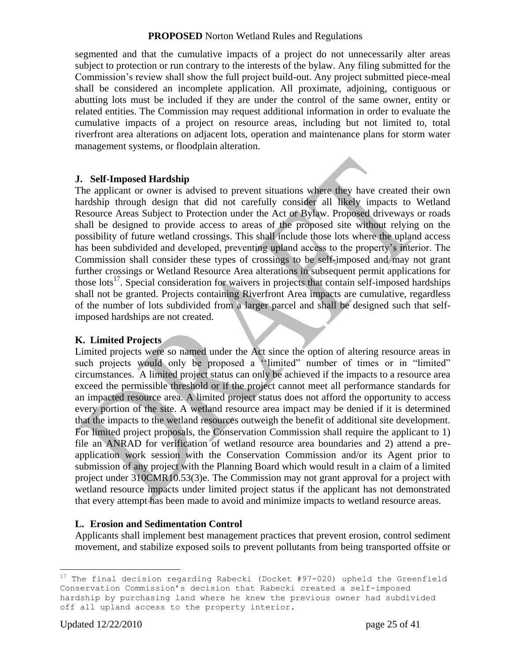segmented and that the cumulative impacts of a project do not unnecessarily alter areas subject to protection or run contrary to the interests of the bylaw. Any filing submitted for the Commission"s review shall show the full project build-out. Any project submitted piece-meal shall be considered an incomplete application. All proximate, adjoining, contiguous or abutting lots must be included if they are under the control of the same owner, entity or related entities. The Commission may request additional information in order to evaluate the cumulative impacts of a project on resource areas, including but not limited to, total riverfront area alterations on adjacent lots, operation and maintenance plans for storm water management systems, or floodplain alteration.

#### **J. Self-Imposed Hardship**

The applicant or owner is advised to prevent situations where they have created their own hardship through design that did not carefully consider all likely impacts to Wetland Resource Areas Subject to Protection under the Act or Bylaw. Proposed driveways or roads shall be designed to provide access to areas of the proposed site without relying on the possibility of future wetland crossings. This shall include those lots where the upland access has been subdivided and developed, preventing upland access to the property's interior. The Commission shall consider these types of crossings to be self-imposed and may not grant further crossings or Wetland Resource Area alterations in subsequent permit applications for those lots<sup>17</sup>. Special consideration for waivers in projects that contain self-imposed hardships shall not be granted. Projects containing Riverfront Area impacts are cumulative, regardless of the number of lots subdivided from a larger parcel and shall be designed such that selfimposed hardships are not created.

#### **K. Limited Projects**

Limited projects were so named under the Act since the option of altering resource areas in such projects would only be proposed a "limited" number of times or in "limited" circumstances. A limited project status can only be achieved if the impacts to a resource area exceed the permissible threshold or if the project cannot meet all performance standards for an impacted resource area. A limited project status does not afford the opportunity to access every portion of the site. A wetland resource area impact may be denied if it is determined that the impacts to the wetland resources outweigh the benefit of additional site development. For limited project proposals, the Conservation Commission shall require the applicant to 1) file an ANRAD for verification of wetland resource area boundaries and 2) attend a preapplication work session with the Conservation Commission and/or its Agent prior to submission of any project with the Planning Board which would result in a claim of a limited project under 310CMR10.53(3)e. The Commission may not grant approval for a project with wetland resource impacts under limited project status if the applicant has not demonstrated that every attempt has been made to avoid and minimize impacts to wetland resource areas.

#### **L. Erosion and Sedimentation Control**

Applicants shall implement best management practices that prevent erosion, control sediment movement, and stabilize exposed soils to prevent pollutants from being transported offsite or

 $\overline{a}$ <sup>17</sup> The final decision regarding Rabecki (Docket #97-020) upheld the Greenfield Conservation Commission's decision that Rabecki created a self-imposed hardship by purchasing land where he knew the previous owner had subdivided off all upland access to the property interior.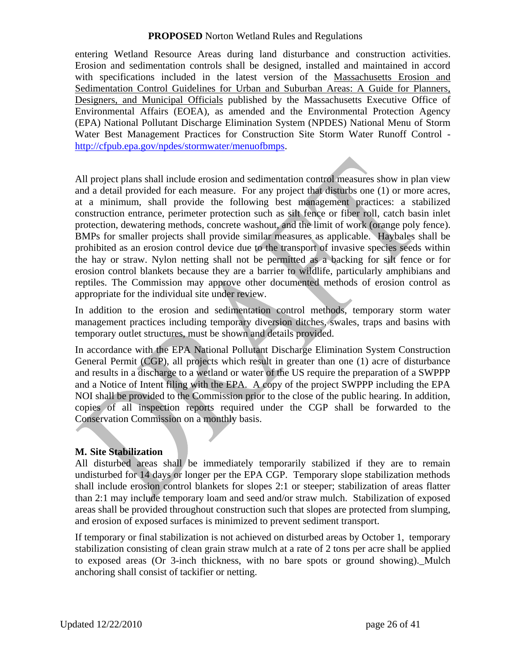entering Wetland Resource Areas during land disturbance and construction activities. Erosion and sedimentation controls shall be designed, installed and maintained in accord with specifications included in the latest version of the Massachusetts Erosion and Sedimentation Control Guidelines for Urban and Suburban Areas: A Guide for Planners, Designers, and Municipal Officials published by the Massachusetts Executive Office of Environmental Affairs (EOEA), as amended and the Environmental Protection Agency (EPA) National Pollutant Discharge Elimination System (NPDES) National Menu of Storm Water Best Management Practices for Construction Site Storm Water Runoff Control [http://cfpub.epa.gov/npdes/stormwater/menuofbmps.](http://cfpub.epa.gov/npdes/stormwater/menuofbmps)

All project plans shall include erosion and sedimentation control measures show in plan view and a detail provided for each measure. For any project that disturbs one (1) or more acres, at a minimum, shall provide the following best management practices: a stabilized construction entrance, perimeter protection such as silt fence or fiber roll, catch basin inlet protection, dewatering methods, concrete washout, and the limit of work (orange poly fence). BMPs for smaller projects shall provide similar measures as applicable. Haybales shall be prohibited as an erosion control device due to the transport of invasive species seeds within the hay or straw. Nylon netting shall not be permitted as a backing for silt fence or for erosion control blankets because they are a barrier to wildlife, particularly amphibians and reptiles. The Commission may approve other documented methods of erosion control as appropriate for the individual site under review.

In addition to the erosion and sedimentation control methods, temporary storm water management practices including temporary diversion ditches, swales, traps and basins with temporary outlet structures, must be shown and details provided.

In accordance with the EPA National Pollutant Discharge Elimination System Construction General Permit (CGP), all projects which result in greater than one (1) acre of disturbance and results in a discharge to a wetland or water of the US require the preparation of a SWPPP and a Notice of Intent filing with the EPA. A copy of the project SWPPP including the EPA NOI shall be provided to the Commission prior to the close of the public hearing. In addition, copies of all inspection reports required under the CGP shall be forwarded to the Conservation Commission on a monthly basis.

#### **M. Site Stabilization**

All disturbed areas shall be immediately temporarily stabilized if they are to remain undisturbed for 14 days or longer per the EPA CGP. Temporary slope stabilization methods shall include erosion control blankets for slopes 2:1 or steeper; stabilization of areas flatter than 2:1 may include temporary loam and seed and/or straw mulch. Stabilization of exposed areas shall be provided throughout construction such that slopes are protected from slumping, and erosion of exposed surfaces is minimized to prevent sediment transport.

If temporary or final stabilization is not achieved on disturbed areas by October 1, temporary stabilization consisting of clean grain straw mulch at a rate of 2 tons per acre shall be applied to exposed areas (Or 3-inch thickness, with no bare spots or ground showing). Mulch anchoring shall consist of tackifier or netting.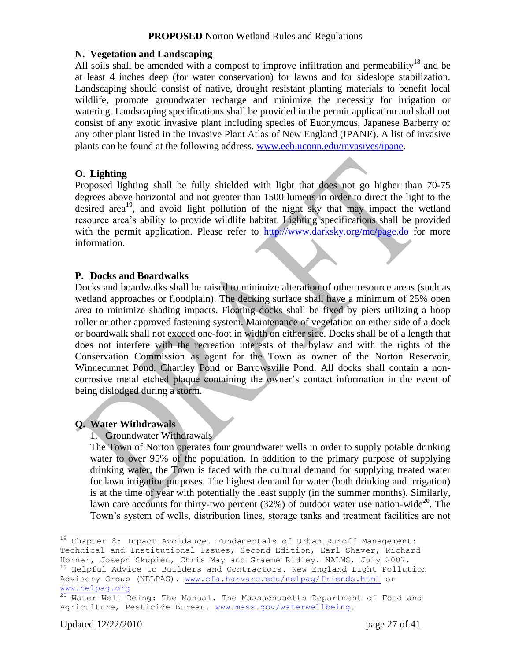#### **N. Vegetation and Landscaping**

All soils shall be amended with a compost to improve infiltration and permeability<sup>18</sup> and be at least 4 inches deep (for water conservation) for lawns and for sideslope stabilization. Landscaping should consist of native, drought resistant planting materials to benefit local wildlife, promote groundwater recharge and minimize the necessity for irrigation or watering. Landscaping specifications shall be provided in the permit application and shall not consist of any exotic invasive plant including species of Euonymous, Japanese Barberry or any other plant listed in the Invasive Plant Atlas of New England (IPANE). A list of invasive plants can be found at the following address. [www.eeb.uconn.edu/invasives/ipane.](http://invasives.eeb.uconn.edu/ipane/)

#### **O. Lighting**

Proposed lighting shall be fully shielded with light that does not go higher than 70-75 degrees above horizontal and not greater than 1500 lumens in order to direct the light to the desired area<sup>19</sup>, and avoid light pollution of the night sky that may impact the wetland resource area's ability to provide wildlife habitat. Lighting specifications shall be provided with the permit application. Please refer to <http://www.darksky.org/mc/page.do> for more information.

#### **P. Docks and Boardwalks**

Docks and boardwalks shall be raised to minimize alteration of other resource areas (such as wetland approaches or floodplain). The decking surface shall have a minimum of 25% open area to minimize shading impacts. Floating docks shall be fixed by piers utilizing a hoop roller or other approved fastening system. Maintenance of vegetation on either side of a dock or boardwalk shall not exceed one-foot in width on either side. Docks shall be of a length that does not interfere with the recreation interests of the bylaw and with the rights of the Conservation Commission as agent for the Town as owner of the Norton Reservoir, Winnecunnet Pond, Chartley Pond or Barrowsville Pond. All docks shall contain a noncorrosive metal etched plaque containing the owner's contact information in the event of being dislodged during a storm.

#### **Q. Water Withdrawals**

#### 1. **G**roundwater Withdrawals

The Town of Norton operates four groundwater wells in order to supply potable drinking water to over 95% of the population. In addition to the primary purpose of supplying drinking water, the Town is faced with the cultural demand for supplying treated water for lawn irrigation purposes. The highest demand for water (both drinking and irrigation) is at the time of year with potentially the least supply (in the summer months). Similarly, lawn care accounts for thirty-two percent  $(32%)$  of outdoor water use nation-wide<sup>20</sup>. The Town"s system of wells, distribution lines, storage tanks and treatment facilities are not

 $\overline{a}$ 

 $^{18}$  Chapter 8: Impact Avoidance. Fundamentals of Urban Runoff Management:

Technical and Institutional Issues, Second Edition, Earl Shaver, Richard Horner, Joseph Skupien, Chris May and Graeme Ridley. NALMS, July 2007. <sup>19</sup> Helpful Advice to Builders and Contractors. New England Light Pollution Advisory Group (NELPAG). [www.cfa.harvard.edu/nelpag/friends.html](http://www.cfa.harvard.edu/nelpag/friends.html) or

[www.nelpag.org](http://www.nelpag.org/)

<sup>&</sup>lt;sup>20</sup> Water Well-Being: The Manual. The Massachusetts Department of Food and Agriculture, Pesticide Bureau. [www.mass.gov/waterwellbeing.](http://www.mass.gov/waterwellbeing)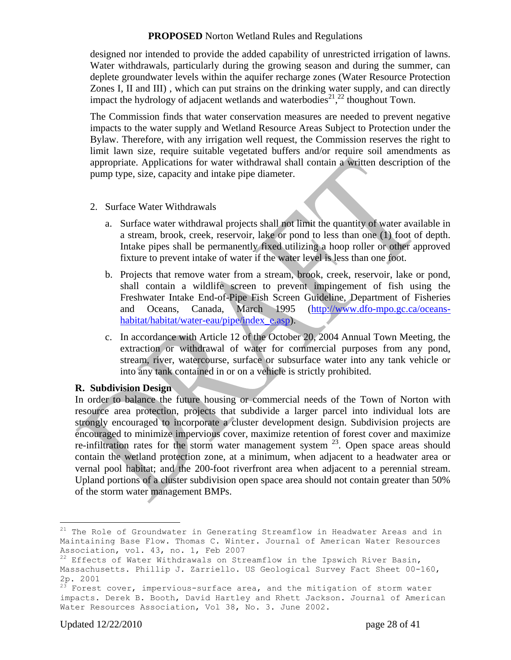designed nor intended to provide the added capability of unrestricted irrigation of lawns. Water withdrawals, particularly during the growing season and during the summer, can deplete groundwater levels within the aquifer recharge zones (Water Resource Protection Zones I, II and III) , which can put strains on the drinking water supply, and can directly impact the hydrology of adjacent wetlands and waterbodies<sup>21</sup>,<sup>22</sup> thoughout Town.

The Commission finds that water conservation measures are needed to prevent negative impacts to the water supply and Wetland Resource Areas Subject to Protection under the Bylaw. Therefore, with any irrigation well request, the Commission reserves the right to limit lawn size, require suitable vegetated buffers and/or require soil amendments as appropriate. Applications for water withdrawal shall contain a written description of the pump type, size, capacity and intake pipe diameter.

- 2. Surface Water Withdrawals
	- a. Surface water withdrawal projects shall not limit the quantity of water available in a stream, brook, creek, reservoir, lake or pond to less than one (1) foot of depth. Intake pipes shall be permanently fixed utilizing a hoop roller or other approved fixture to prevent intake of water if the water level is less than one foot.
	- b. Projects that remove water from a stream, brook, creek, reservoir, lake or pond, shall contain a wildlife screen to prevent impingement of fish using the Freshwater Intake End-of-Pipe Fish Screen Guideline, Department of Fisheries and Oceans, Canada, March 1995 [\(http://www.dfo-mpo.gc.ca/oceans](http://www.dfo-mpo.gc.ca/oceans-habitat/habitat/water-eau/pipe/index_e.asp)[habitat/habitat/water-eau/pipe/index\\_e.asp\)](http://www.dfo-mpo.gc.ca/oceans-habitat/habitat/water-eau/pipe/index_e.asp).
	- c. In accordance with Article 12 of the October 20, 2004 Annual Town Meeting, the extraction or withdrawal of water for commercial purposes from any pond, stream, river, watercourse, surface or subsurface water into any tank vehicle or into any tank contained in or on a vehicle is strictly prohibited.

#### **R. Subdivision Design**

In order to balance the future housing or commercial needs of the Town of Norton with resource area protection, projects that subdivide a larger parcel into individual lots are strongly encouraged to incorporate a cluster development design. Subdivision projects are encouraged to minimize impervious cover, maximize retention of forest cover and maximize re-infiltration rates for the storm water management system  $2<sup>3</sup>$ . Open space areas should contain the wetland protection zone, at a minimum, when adjacent to a headwater area or vernal pool habitat; and the 200-foot riverfront area when adjacent to a perennial stream. Upland portions of a cluster subdivision open space area should not contain greater than 50% of the storm water management BMPs.

 $\overline{a}$ 

 $^{21}$  The Role of Groundwater in Generating Streamflow in Headwater Areas and in Maintaining Base Flow. Thomas C. Winter. Journal of American Water Resources Association, vol. 43, no. 1, Feb 2007

 $22$  Effects of Water Withdrawals on Streamflow in the Ipswich River Basin, Massachusetts. Phillip J. Zarriello. US Geological Survey Fact Sheet 00-160, 2p. 2001

 $23$  Forest cover, impervious-surface area, and the mitigation of storm water impacts. Derek B. Booth, David Hartley and Rhett Jackson. Journal of American Water Resources Association, Vol 38, No. 3. June 2002.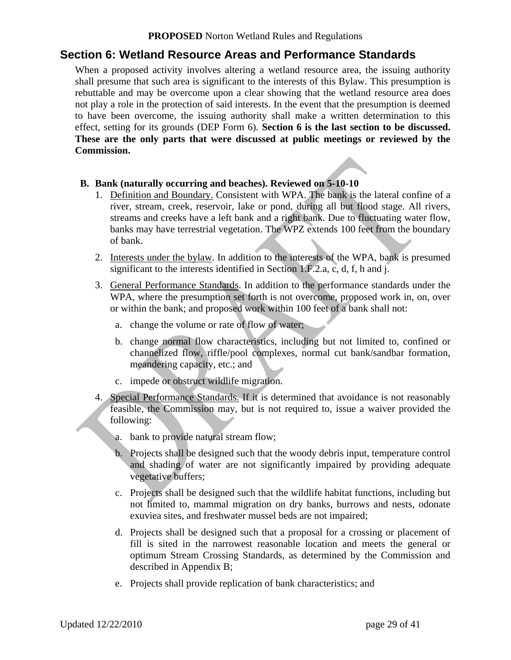### **Section 6: Wetland Resource Areas and Performance Standards**

When a proposed activity involves altering a wetland resource area, the issuing authority shall presume that such area is significant to the interests of this Bylaw. This presumption is rebuttable and may be overcome upon a clear showing that the wetland resource area does not play a role in the protection of said interests. In the event that the presumption is deemed to have been overcome, the issuing authority shall make a written determination to this effect, setting for its grounds (DEP Form 6). **Section 6 is the last section to be discussed. These are the only parts that were discussed at public meetings or reviewed by the Commission.** 

#### **B. Bank (naturally occurring and beaches). Reviewed on 5-10-10**

- 1. Definition and Boundary. Consistent with WPA. The bank is the lateral confine of a river, stream, creek, reservoir, lake or pond, during all but flood stage. All rivers, streams and creeks have a left bank and a right bank. Due to fluctuating water flow, banks may have terrestrial vegetation. The WPZ extends 100 feet from the boundary of bank.
- 2. Interests under the bylaw. In addition to the interests of the WPA, bank is presumed significant to the interests identified in Section 1.F.2.a, c, d, f, h and j.
- 3. General Performance Standards. In addition to the performance standards under the WPA, where the presumption set forth is not overcome, proposed work in, on, over or within the bank; and proposed work within 100 feet of a bank shall not:
	- a. change the volume or rate of flow of water;
	- b. change normal flow characteristics, including but not limited to, confined or channelized flow, riffle/pool complexes, normal cut bank/sandbar formation, meandering capacity, etc.; and
	- c. impede or obstruct wildlife migration.
- 4. Special Performance Standards. If it is determined that avoidance is not reasonably feasible, the Commission may, but is not required to, issue a waiver provided the following:
	- a. bank to provide natural stream flow;
	- b. Projects shall be designed such that the woody debris input, temperature control and shading of water are not significantly impaired by providing adequate vegetative buffers;
	- c. Projects shall be designed such that the wildlife habitat functions, including but not limited to, mammal migration on dry banks, burrows and nests, odonate exuviea sites, and freshwater mussel beds are not impaired;
	- d. Projects shall be designed such that a proposal for a crossing or placement of fill is sited in the narrowest reasonable location and meets the general or optimum Stream Crossing Standards, as determined by the Commission and described in Appendix B;
	- e. Projects shall provide replication of bank characteristics; and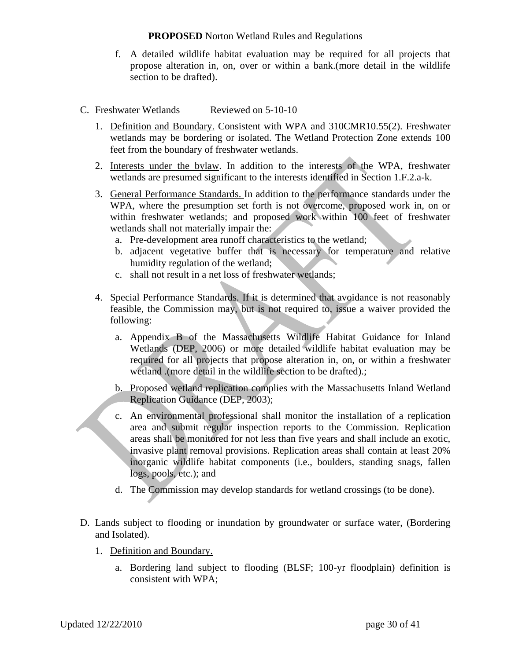- f. A detailed wildlife habitat evaluation may be required for all projects that propose alteration in, on, over or within a bank.(more detail in the wildlife section to be drafted).
- C. Freshwater Wetlands Reviewed on 5-10-10
	- 1. Definition and Boundary. Consistent with WPA and 310CMR10.55(2). Freshwater wetlands may be bordering or isolated. The Wetland Protection Zone extends 100 feet from the boundary of freshwater wetlands.
	- 2. Interests under the bylaw. In addition to the interests of the WPA, freshwater wetlands are presumed significant to the interests identified in Section 1.F.2.a-k.
	- 3. General Performance Standards. In addition to the performance standards under the WPA, where the presumption set forth is not overcome, proposed work in, on or within freshwater wetlands; and proposed work within 100 feet of freshwater wetlands shall not materially impair the:
		- a. Pre-development area runoff characteristics to the wetland;
		- b. adjacent vegetative buffer that is necessary for temperature and relative humidity regulation of the wetland;
		- c. shall not result in a net loss of freshwater wetlands;
	- 4. Special Performance Standards. If it is determined that avoidance is not reasonably feasible, the Commission may, but is not required to, issue a waiver provided the following:
		- a. Appendix B of the Massachusetts Wildlife Habitat Guidance for Inland Wetlands (DEP, 2006) or more detailed wildlife habitat evaluation may be required for all projects that propose alteration in, on, or within a freshwater wetland .(more detail in the wildlife section to be drafted).;
		- b. Proposed wetland replication complies with the Massachusetts Inland Wetland Replication Guidance (DEP, 2003);
		- c. An environmental professional shall monitor the installation of a replication area and submit regular inspection reports to the Commission. Replication areas shall be monitored for not less than five years and shall include an exotic, invasive plant removal provisions. Replication areas shall contain at least 20% inorganic wildlife habitat components (i.e., boulders, standing snags, fallen logs, pools, etc.); and
		- d. The Commission may develop standards for wetland crossings (to be done).
- D. Lands subject to flooding or inundation by groundwater or surface water, (Bordering and Isolated).
	- 1. Definition and Boundary.
		- a. Bordering land subject to flooding (BLSF; 100-yr floodplain) definition is consistent with WPA;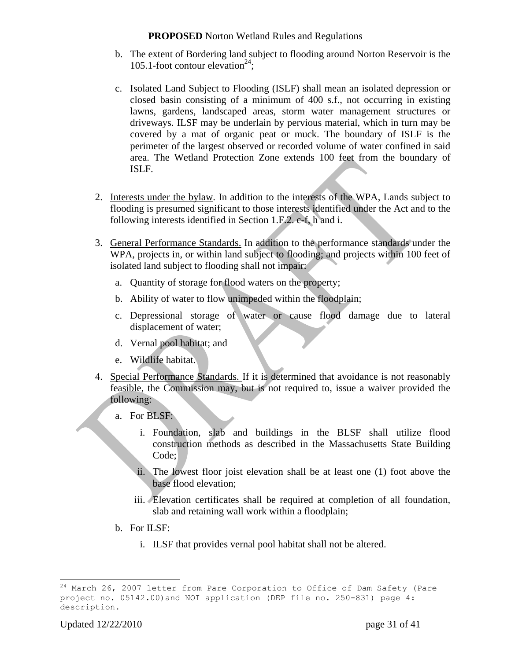- b. The extent of Bordering land subject to flooding around Norton Reservoir is the 105.1-foot contour elevation<sup>24</sup>;
- c. Isolated Land Subject to Flooding (ISLF) shall mean an isolated depression or closed basin consisting of a minimum of 400 s.f., not occurring in existing lawns, gardens, landscaped areas, storm water management structures or driveways. ILSF may be underlain by pervious material, which in turn may be covered by a mat of organic peat or muck. The boundary of ISLF is the perimeter of the largest observed or recorded volume of water confined in said area. The Wetland Protection Zone extends 100 feet from the boundary of ISLF.
- 2. Interests under the bylaw. In addition to the interests of the WPA, Lands subject to flooding is presumed significant to those interests identified under the Act and to the following interests identified in Section 1.F.2. c-f, h and i.
- 3. General Performance Standards. In addition to the performance standards under the WPA, projects in, or within land subject to flooding; and projects within 100 feet of isolated land subject to flooding shall not impair:
	- a. Quantity of storage for flood waters on the property;
	- b. Ability of water to flow unimpeded within the floodplain;
	- c. Depressional storage of water or cause flood damage due to lateral displacement of water;
	- d. Vernal pool habitat; and
	- e. Wildlife habitat.
- 4. Special Performance Standards. If it is determined that avoidance is not reasonably feasible, the Commission may, but is not required to, issue a waiver provided the following:
	- a. For BLSF:
		- i. Foundation, slab and buildings in the BLSF shall utilize flood construction methods as described in the Massachusetts State Building Code:
		- ii. The lowest floor joist elevation shall be at least one (1) foot above the base flood elevation;
		- iii. Elevation certificates shall be required at completion of all foundation, slab and retaining wall work within a floodplain;
	- b. For ILSF:
		- i. ILSF that provides vernal pool habitat shall not be altered.

 $\overline{a}$  $^{24}$  March 26, 2007 letter from Pare Corporation to Office of Dam Safety (Pare project no. 05142.00)and NOI application (DEP file no. 250-831) page 4: description.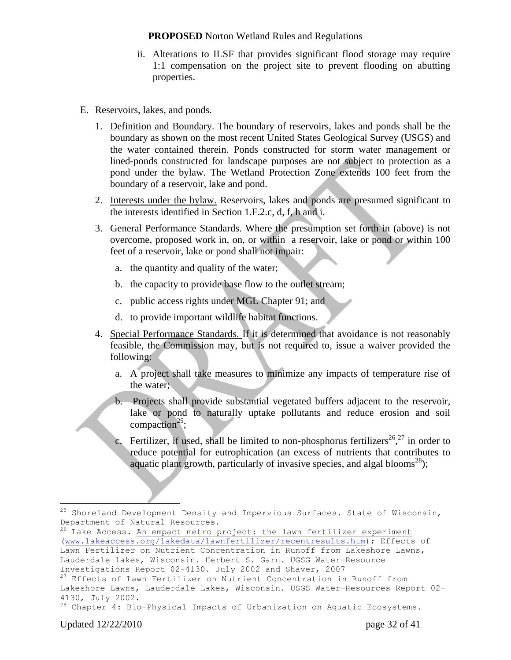- ii. Alterations to ILSF that provides significant flood storage may require 1:1 compensation on the project site to prevent flooding on abutting properties.
- E. Reservoirs, lakes, and ponds.
	- 1. Definition and Boundary. The boundary of reservoirs, lakes and ponds shall be the boundary as shown on the most recent United States Geological Survey (USGS) and the water contained therein. Ponds constructed for storm water management or lined-ponds constructed for landscape purposes are not subject to protection as a pond under the bylaw. The Wetland Protection Zone extends 100 feet from the boundary of a reservoir, lake and pond.
	- 2. Interests under the bylaw. Reservoirs, lakes and ponds are presumed significant to the interests identified in Section 1.F.2.c, d, f, h and i.
	- 3. General Performance Standards. Where the presumption set forth in (above) is not overcome, proposed work in, on, or within a reservoir, lake or pond or within 100 feet of a reservoir, lake or pond shall not impair:
		- a. the quantity and quality of the water;
		- b. the capacity to provide base flow to the outlet stream;
		- c. public access rights under MGL Chapter 91; and
		- d. to provide important wildlife habitat functions.
	- 4. Special Performance Standards. If it is determined that avoidance is not reasonably feasible, the Commission may, but is not required to, issue a waiver provided the following:
		- a. A project shall take measures to minimize any impacts of temperature rise of the water;
		- b. Projects shall provide substantial vegetated buffers adjacent to the reservoir, lake or pond to naturally uptake pollutants and reduce erosion and soil compaction<sup>25</sup>;
		- c. Fertilizer, if used, shall be limited to non-phosphorus fertilizers<sup>26</sup>,<sup>27</sup> in order to reduce potential for eutrophication (an excess of nutrients that contributes to aquatic plant growth, particularly of invasive species, and algal blooms<sup>28</sup>);

 $\overline{a}$ 

 $25$  Shoreland Development Density and Impervious Surfaces. State of Wisconsin, Department of Natural Resources.

<sup>&</sup>lt;sup>26</sup> Lake Access. An empact metro project: the lawn fertilizer experiment [\(www.lakeaccess.org/lakedata/lawnfertilizer/recentresults.htm\)](http://www.lakeaccess.org/lakedata/lawnfertilizer/recentresults.htm); Effects of Lawn Fertilizer on Nutrient Concentration in Runoff from Lakeshore Lawns, Lauderdale lakes, Wisconsin. Herbert S. Garn. UGSG Water-Resource Investigations Report 02-4130. July 2002 and Shaver, 2007

<sup>&</sup>lt;sup>27</sup> Effects of Lawn Fertilizer on Nutrient Concentration in Runoff from Lakeshore Lawns, Lauderdale Lakes, Wisconsin. USGS Water-Resources Report 02- 4130, July 2002.

<sup>&</sup>lt;sup>28</sup> Chapter 4: Bio-Physical Impacts of Urbanization on Aquatic Ecosystems.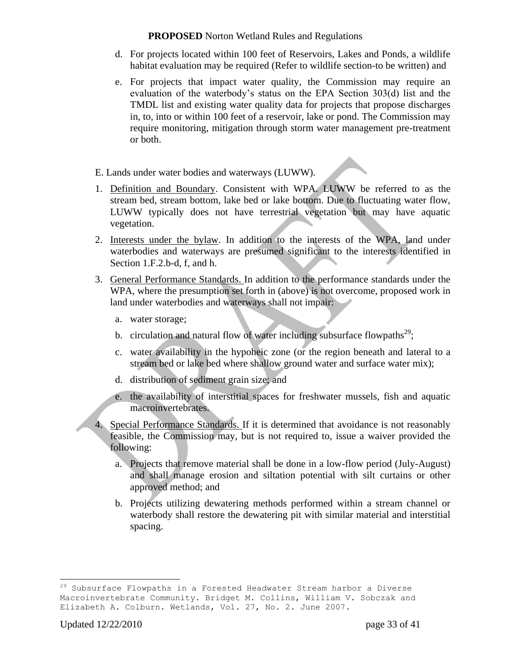- d. For projects located within 100 feet of Reservoirs, Lakes and Ponds, a wildlife habitat evaluation may be required (Refer to wildlife section-to be written) and
- e. For projects that impact water quality, the Commission may require an evaluation of the waterbody"s status on the EPA Section 303(d) list and the TMDL list and existing water quality data for projects that propose discharges in, to, into or within 100 feet of a reservoir, lake or pond. The Commission may require monitoring, mitigation through storm water management pre-treatment or both.
- E. Lands under water bodies and waterways (LUWW).
- 1. Definition and Boundary. Consistent with WPA. LUWW be referred to as the stream bed, stream bottom, lake bed or lake bottom. Due to fluctuating water flow, LUWW typically does not have terrestrial vegetation but may have aquatic vegetation.
- 2. Interests under the bylaw. In addition to the interests of the WPA, land under waterbodies and waterways are presumed significant to the interests identified in Section 1.F.2.b-d, f, and h.
- 3. General Performance Standards. In addition to the performance standards under the WPA, where the presumption set forth in (above) is not overcome, proposed work in land under waterbodies and waterways shall not impair:
	- a. water storage;
	- b. circulation and natural flow of water including subsurface flowpaths<sup>29</sup>;
	- c. water availability in the hypoheic zone (or the region beneath and lateral to a stream bed or lake bed where shallow ground water and surface water mix);
	- d. distribution of sediment grain size; and
	- e. the availability of interstitial spaces for freshwater mussels, fish and aquatic macroinvertebrates.
- 4. Special Performance Standards. If it is determined that avoidance is not reasonably feasible, the Commission may, but is not required to, issue a waiver provided the following:
	- a. Projects that remove material shall be done in a low-flow period (July-August) and shall manage erosion and siltation potential with silt curtains or other approved method; and
	- b. Projects utilizing dewatering methods performed within a stream channel or waterbody shall restore the dewatering pit with similar material and interstitial spacing.

 $\overline{a}$  $^{29}$  Subsurface Flowpaths in a Forested Headwater Stream harbor a Diverse Macroinvertebrate Community. Bridget M. Collins, William V. Sobczak and Elizabeth A. Colburn. Wetlands, Vol. 27, No. 2. June 2007.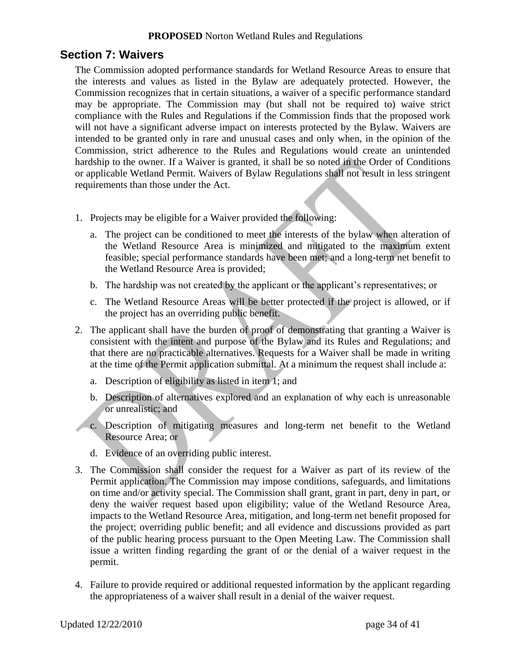### **Section 7: Waivers**

The Commission adopted performance standards for Wetland Resource Areas to ensure that the interests and values as listed in the Bylaw are adequately protected. However, the Commission recognizes that in certain situations, a waiver of a specific performance standard may be appropriate. The Commission may (but shall not be required to) waive strict compliance with the Rules and Regulations if the Commission finds that the proposed work will not have a significant adverse impact on interests protected by the Bylaw. Waivers are intended to be granted only in rare and unusual cases and only when, in the opinion of the Commission, strict adherence to the Rules and Regulations would create an unintended hardship to the owner. If a Waiver is granted, it shall be so noted in the Order of Conditions or applicable Wetland Permit. Waivers of Bylaw Regulations shall not result in less stringent requirements than those under the Act.

- 1. Projects may be eligible for a Waiver provided the following:
	- a. The project can be conditioned to meet the interests of the bylaw when alteration of the Wetland Resource Area is minimized and mitigated to the maximum extent feasible; special performance standards have been met; and a long-term net benefit to the Wetland Resource Area is provided;
	- b. The hardship was not created by the applicant or the applicant's representatives; or
	- c. The Wetland Resource Areas will be better protected if the project is allowed, or if the project has an overriding public benefit.
- 2. The applicant shall have the burden of proof of demonstrating that granting a Waiver is consistent with the intent and purpose of the Bylaw and its Rules and Regulations; and that there are no practicable alternatives. Requests for a Waiver shall be made in writing at the time of the Permit application submittal. At a minimum the request shall include a:
	- a. Description of eligibility as listed in item 1; and
	- b. Description of alternatives explored and an explanation of why each is unreasonable or unrealistic; and
	- c. Description of mitigating measures and long-term net benefit to the Wetland Resource Area; or
	- d. Evidence of an overriding public interest.
- 3. The Commission shall consider the request for a Waiver as part of its review of the Permit application. The Commission may impose conditions, safeguards, and limitations on time and/or activity special. The Commission shall grant, grant in part, deny in part, or deny the waiver request based upon eligibility; value of the Wetland Resource Area, impacts to the Wetland Resource Area, mitigation, and long-term net benefit proposed for the project; overriding public benefit; and all evidence and discussions provided as part of the public hearing process pursuant to the Open Meeting Law. The Commission shall issue a written finding regarding the grant of or the denial of a waiver request in the permit.
- 4. Failure to provide required or additional requested information by the applicant regarding the appropriateness of a waiver shall result in a denial of the waiver request.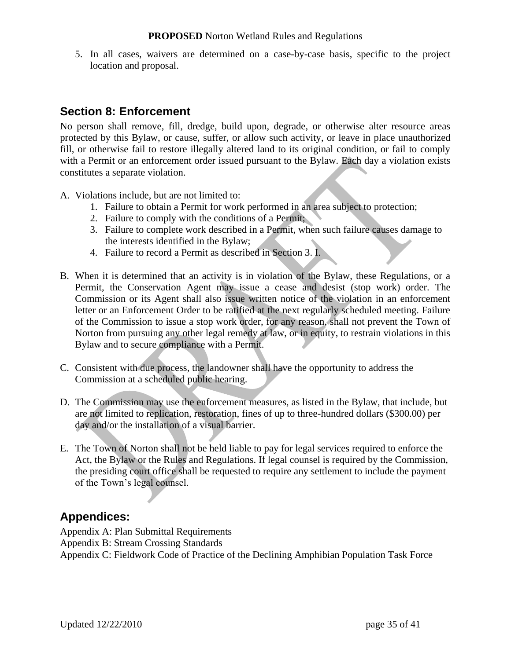5. In all cases, waivers are determined on a case-by-case basis, specific to the project location and proposal.

# **Section 8: Enforcement**

No person shall remove, fill, dredge, build upon, degrade, or otherwise alter resource areas protected by this Bylaw, or cause, suffer, or allow such activity, or leave in place unauthorized fill, or otherwise fail to restore illegally altered land to its original condition, or fail to comply with a Permit or an enforcement order issued pursuant to the Bylaw. Each day a violation exists constitutes a separate violation.

A. Violations include, but are not limited to:

- 1. Failure to obtain a Permit for work performed in an area subject to protection;
- 2. Failure to comply with the conditions of a Permit;
- 3. Failure to complete work described in a Permit, when such failure causes damage to the interests identified in the Bylaw;
- 4. Failure to record a Permit as described in Section 3. I.
- B. When it is determined that an activity is in violation of the Bylaw, these Regulations, or a Permit, the Conservation Agent may issue a cease and desist (stop work) order. The Commission or its Agent shall also issue written notice of the violation in an enforcement letter or an Enforcement Order to be ratified at the next regularly scheduled meeting. Failure of the Commission to issue a stop work order, for any reason, shall not prevent the Town of Norton from pursuing any other legal remedy at law, or in equity, to restrain violations in this Bylaw and to secure compliance with a Permit.
- C. Consistent with due process, the landowner shall have the opportunity to address the Commission at a scheduled public hearing.
- D. The Commission may use the enforcement measures, as listed in the Bylaw, that include, but are not limited to replication, restoration, fines of up to three-hundred dollars (\$300.00) per day and/or the installation of a visual barrier.
- E. The Town of Norton shall not be held liable to pay for legal services required to enforce the Act, the Bylaw or the Rules and Regulations. If legal counsel is required by the Commission, the presiding court office shall be requested to require any settlement to include the payment of the Town"s legal counsel.

### **Appendices:**

Appendix A: Plan Submittal Requirements Appendix B: Stream Crossing Standards Appendix C: Fieldwork Code of Practice of the Declining Amphibian Population Task Force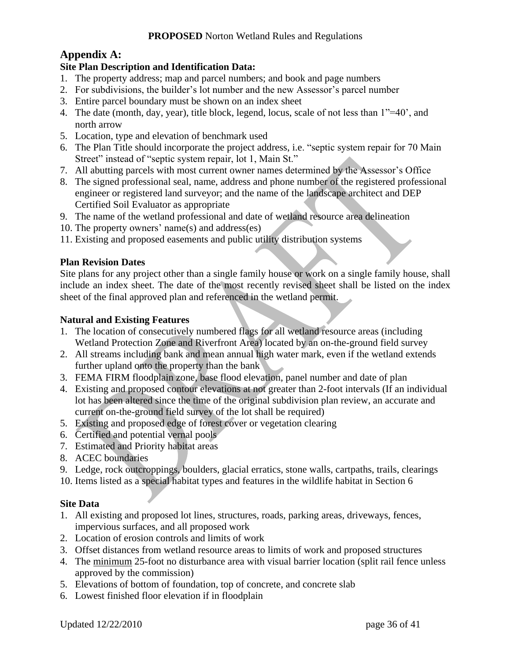### **Appendix A:**

### **Site Plan Description and Identification Data:**

- 1. The property address; map and parcel numbers; and book and page numbers
- 2. For subdivisions, the builder"s lot number and the new Assessor"s parcel number
- 3. Entire parcel boundary must be shown on an index sheet
- 4. The date (month, day, year), title block, legend, locus, scale of not less than 1"=40", and north arrow
- 5. Location, type and elevation of benchmark used
- 6. The Plan Title should incorporate the project address, i.e. "septic system repair for 70 Main Street" instead of "septic system repair, lot 1, Main St."
- 7. All abutting parcels with most current owner names determined by the Assessor"s Office
- 8. The signed professional seal, name, address and phone number of the registered professional engineer or registered land surveyor; and the name of the landscape architect and DEP Certified Soil Evaluator as appropriate
- 9. The name of the wetland professional and date of wetland resource area delineation
- 10. The property owners' name(s) and address(es)
- 11. Existing and proposed easements and public utility distribution systems

### **Plan Revision Dates**

Site plans for any project other than a single family house or work on a single family house, shall include an index sheet. The date of the most recently revised sheet shall be listed on the index sheet of the final approved plan and referenced in the wetland permit.

### **Natural and Existing Features**

- 1. The location of consecutively numbered flags for all wetland resource areas (including Wetland Protection Zone and Riverfront Area) located by an on-the-ground field survey
- 2. All streams including bank and mean annual high water mark, even if the wetland extends further upland onto the property than the bank
- 3. FEMA FIRM floodplain zone, base flood elevation, panel number and date of plan
- 4. Existing and proposed contour elevations at not greater than 2-foot intervals (If an individual lot has been altered since the time of the original subdivision plan review, an accurate and current on-the-ground field survey of the lot shall be required)
- 5. Existing and proposed edge of forest cover or vegetation clearing
- 6. Certified and potential vernal pools
- 7. Estimated and Priority habitat areas
- 8. ACEC boundaries
- 9. Ledge, rock outcroppings, boulders, glacial erratics, stone walls, cartpaths, trails, clearings
- 10. Items listed as a special habitat types and features in the wildlife habitat in Section 6

### **Site Data**

- 1. All existing and proposed lot lines, structures, roads, parking areas, driveways, fences, impervious surfaces, and all proposed work
- 2. Location of erosion controls and limits of work
- 3. Offset distances from wetland resource areas to limits of work and proposed structures
- 4. The minimum 25-foot no disturbance area with visual barrier location (split rail fence unless approved by the commission)
- 5. Elevations of bottom of foundation, top of concrete, and concrete slab
- 6. Lowest finished floor elevation if in floodplain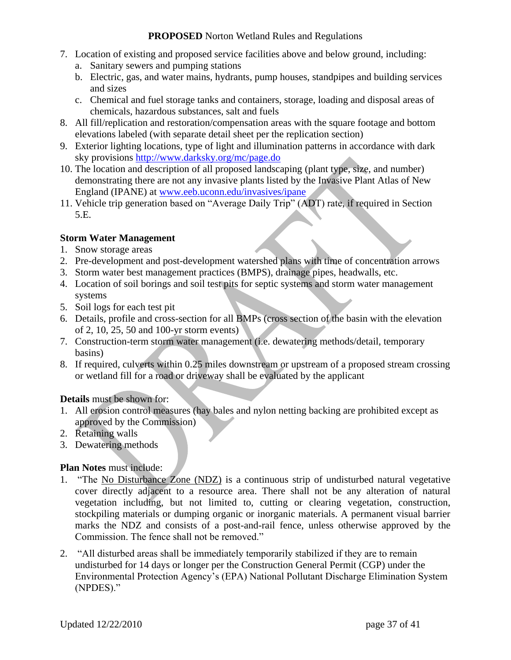- 7. Location of existing and proposed service facilities above and below ground, including:
	- a. Sanitary sewers and pumping stations
	- b. Electric, gas, and water mains, hydrants, pump houses, standpipes and building services and sizes
	- c. Chemical and fuel storage tanks and containers, storage, loading and disposal areas of chemicals, hazardous substances, salt and fuels
- 8. All fill/replication and restoration/compensation areas with the square footage and bottom elevations labeled (with separate detail sheet per the replication section)
- 9. Exterior lighting locations, type of light and illumination patterns in accordance with dark sky provisions<http://www.darksky.org/mc/page.do>
- 10. The location and description of all proposed landscaping (plant type, size, and number) demonstrating there are not any invasive plants listed by the Invasive Plant Atlas of New England (IPANE) at [www.eeb.uconn.edu/invasives/ipane](http://invasives.eeb.uconn.edu/ipane/)
- 11. Vehicle trip generation based on "Average Daily Trip" (ADT) rate, if required in Section 5.E.

#### **Storm Water Management**

- 1. Snow storage areas
- 2. Pre-development and post-development watershed plans with time of concentration arrows
- 3. Storm water best management practices (BMPS), drainage pipes, headwalls, etc.
- 4. Location of soil borings and soil test pits for septic systems and storm water management systems
- 5. Soil logs for each test pit
- 6. Details, profile and cross-section for all BMPs (cross section of the basin with the elevation of 2, 10, 25, 50 and 100-yr storm events)
- 7. Construction-term storm water management (i.e. dewatering methods/detail, temporary basins)
- 8. If required, culverts within 0.25 miles downstream or upstream of a proposed stream crossing or wetland fill for a road or driveway shall be evaluated by the applicant

#### **Details** must be shown for:

- 1. All erosion control measures (hay bales and nylon netting backing are prohibited except as approved by the Commission)
- 2. Retaining walls
- 3. Dewatering methods

#### **Plan Notes** must include:

- 1. "The No Disturbance Zone (NDZ) is a continuous strip of undisturbed natural vegetative cover directly adjacent to a resource area. There shall not be any alteration of natural vegetation including, but not limited to, cutting or clearing vegetation, construction, stockpiling materials or dumping organic or inorganic materials. A permanent visual barrier marks the NDZ and consists of a post-and-rail fence, unless otherwise approved by the Commission. The fence shall not be removed."
- 2. "All disturbed areas shall be immediately temporarily stabilized if they are to remain undisturbed for 14 days or longer per the Construction General Permit (CGP) under the Environmental Protection Agency"s (EPA) National Pollutant Discharge Elimination System (NPDES)."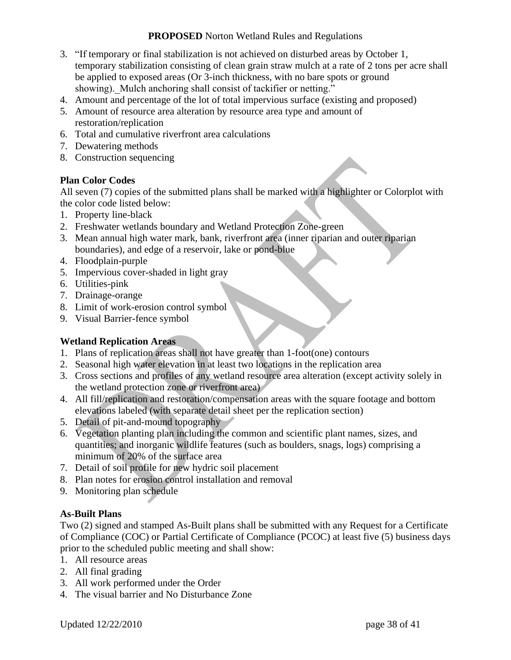- 3. "If temporary or final stabilization is not achieved on disturbed areas by October 1, temporary stabilization consisting of clean grain straw mulch at a rate of 2 tons per acre shall be applied to exposed areas (Or 3-inch thickness, with no bare spots or ground showing). Mulch anchoring shall consist of tackifier or netting."
- 4. Amount and percentage of the lot of total impervious surface (existing and proposed)
- 5. Amount of resource area alteration by resource area type and amount of restoration/replication
- 6. Total and cumulative riverfront area calculations
- 7. Dewatering methods
- 8. Construction sequencing

### **Plan Color Codes**

All seven (7) copies of the submitted plans shall be marked with a highlighter or Colorplot with the color code listed below:

- 1. Property line-black
- 2. Freshwater wetlands boundary and Wetland Protection Zone-green
- 3. Mean annual high water mark, bank, riverfront area (inner riparian and outer riparian boundaries), and edge of a reservoir, lake or pond-blue
- 4. Floodplain-purple
- 5. Impervious cover-shaded in light gray
- 6. Utilities-pink
- 7. Drainage-orange
- 8. Limit of work-erosion control symbol
- 9. Visual Barrier-fence symbol

### **Wetland Replication Areas**

- 1. Plans of replication areas shall not have greater than 1-foot(one) contours
- 2. Seasonal high water elevation in at least two locations in the replication area
- 3. Cross sections and profiles of any wetland resource area alteration (except activity solely in the wetland protection zone or riverfront area)
- 4. All fill/replication and restoration/compensation areas with the square footage and bottom elevations labeled (with separate detail sheet per the replication section)
- 5. Detail of pit-and-mound topography
- 6. Vegetation planting plan including the common and scientific plant names, sizes, and quantities; and inorganic wildlife features (such as boulders, snags, logs) comprising a minimum of 20% of the surface area
- 7. Detail of soil profile for new hydric soil placement
- 8. Plan notes for erosion control installation and removal
- 9. Monitoring plan schedule

### **As-Built Plans**

Two (2) signed and stamped As-Built plans shall be submitted with any Request for a Certificate of Compliance (COC) or Partial Certificate of Compliance (PCOC) at least five (5) business days prior to the scheduled public meeting and shall show:

- 1. All resource areas
- 2. All final grading
- 3. All work performed under the Order
- 4. The visual barrier and No Disturbance Zone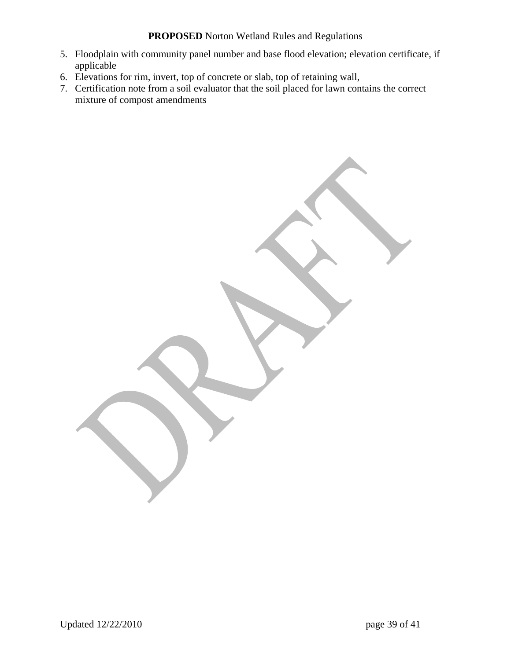- 5. Floodplain with community panel number and base flood elevation; elevation certificate, if applicable
- 6. Elevations for rim, invert, top of concrete or slab, top of retaining wall,
- 7. Certification note from a soil evaluator that the soil placed for lawn contains the correct mixture of compost amendments

Updated 12/22/2010 page 39 of 41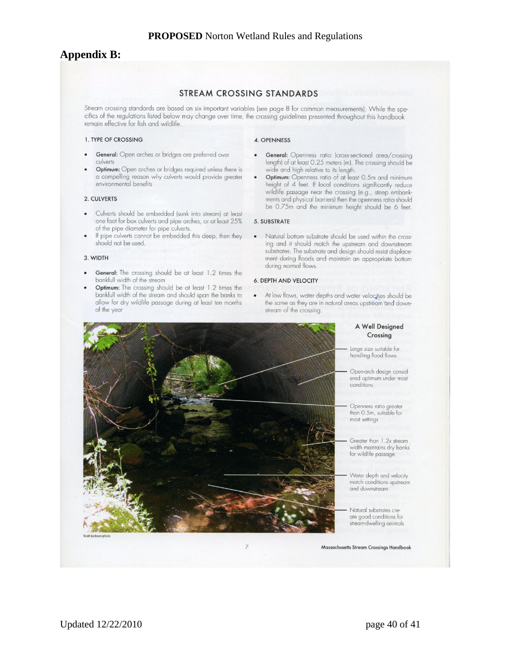### **Appendix B:**

#### STREAM CROSSING STANDARDS

Stream crossing standards are based on six important variables (see page 8 for common measurements). While the specifics of the regulations listed below may change over time, the crossing guidelines presented throughout this handbook remain effective for fish and wildlife.

#### 1. TYPE OF CROSSING

- General: Open arches or bridges are preferred over culverts
- Optimum: Open arches or bridges required unless there is a compelling reason why culverts would provide greater environmental benefits

#### 2. CULVERTS

- Culverts should be embedded (sunk into stream) at least one foot for box culverts and pipe arches, or at least 25% of the pipe diameter for pipe culverts.
- If pipe culverts cannot be embedded this deep, then they should not be used.

#### 3. WIDTH

- General: The crossing should be at least 1.2 times the bankfull width of the stream
- Optimum: The crossing should be at least 1.2 times the bankfull width of the stream and should span the banks to allow for dry wildlife passage during at least ten months of the year

#### 4. OPENNESS

- **General:** Openness ratio (cross-sectional area/crossing<br>length) of at least 0.25 meters (m). The crossing should be wide and high relative to its length.
- Optimum: Openness ratio of at least 0.5m and minimum height of 4 feet. If local conditions significantly reduce wildlife passage near the crossing (e.g., steep embankments and physical barriers) then the openness ratio should be 0.75m and the minimum height should be 6 feet.

#### 5. SUBSTRATE

 $\bullet$ Natural bottom substrate should be used within the crossing and it should match the upstream and downstream substrates. The substrate and design should resist displacement during floods and maintain an appropriate bottom during normal flows.

#### **6. DEPTH AND VELOCITY**

At low flows, water depths and water velocities should be  $\bullet$ the same as they are in natural areas upstream and downstream of the crossing.



#### A Well Designed Crossing

Large size suitable for<br>handling flood flows

Open-arch design considered optimum under most

Openness ratio greater<br>than 0.5m, suitable for

Greater than 1.2x stream width maintains dry banks for wildlife passage

Water depth and velocity match conditions upstream and downstream

Natural substrates create good conditions for stream-dwelling animals